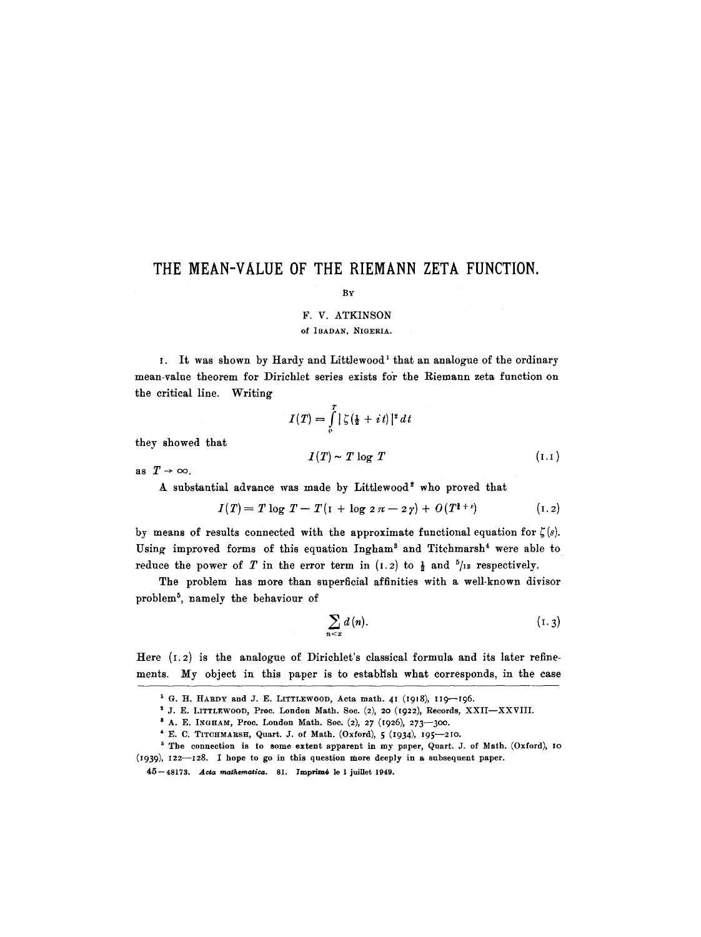# **THE MEAN-VALUE OF THE RIEMANN ZETA FUNCTION,**

### BY

## F. V. ATKINSON

### Of ]BADAN, NIGERIA.

I. It was shown by Hardy and Littlewood<sup>1</sup> that an analogue of the ordinary mean-value theorem for Dirichlet series exists for the Riemann zeta function on the critical line. Writing

$$
I(T) = \int_{0}^{T} \left| \zeta \left( \frac{1}{2} + it \right) \right|^2 dt
$$
  

$$
I(T) \sim T \log T
$$
 (1.1)

they showed that

as  $T \rightarrow \infty$ .

A substantial advance was made by Littlewood<sup>2</sup> who proved that

$$
I(T) = T \log T - T(1 + \log 2 \pi - 2 \gamma) + O(T^{1+\epsilon}) \tag{1.2}
$$

by means of results connected with the approximate functional equation for  $\zeta(s)$ . Using improved forms of this equation Ingham<sup>3</sup> and Titchmarsh<sup>4</sup> were able to reduce the power of T in the error term in  $(1.2)$  to  $\frac{1}{2}$  and  $\frac{5}{12}$  respectively.

The problem has more than superficial affinities with a well-known divisor problem<sup>5</sup>, namely the behaviour of

$$
\sum_{n \leq x} d(n). \tag{1.3}
$$

Here  $(1.2)$  is the analogue of Dirichlet's classical formula and its later refinements. My object in this paper is to establish what corresponds, in the case

<sup>2</sup> J. E. LITTLEWOOD, Proc. London Math. Soc. (2), 20 (1922), Records, XXII-XXVIII.

 $1$  G. H. HARDY and J. E. LITTLEWOOD, Acta math. 41 (1918), 119-196.

<sup>8</sup> A. E. INGHAM, Proe. London Math. Soc. (2), 27 (I926), 273--3oo.

 $4$  E. C. TITCHMARSH, Quart. J. of Math. (Oxford),  $5$  (1934), 195-210.

s The connection is to some extent apparent in my paper, Quart. J. of Math, (Oxford), IO (1939), 122--128. I hope to go in this question more deeply in a subsequent paper.

<sup>45--48173.</sup> *Aeta mathematica.* 81. lmprim6 le 1 juillet 1949.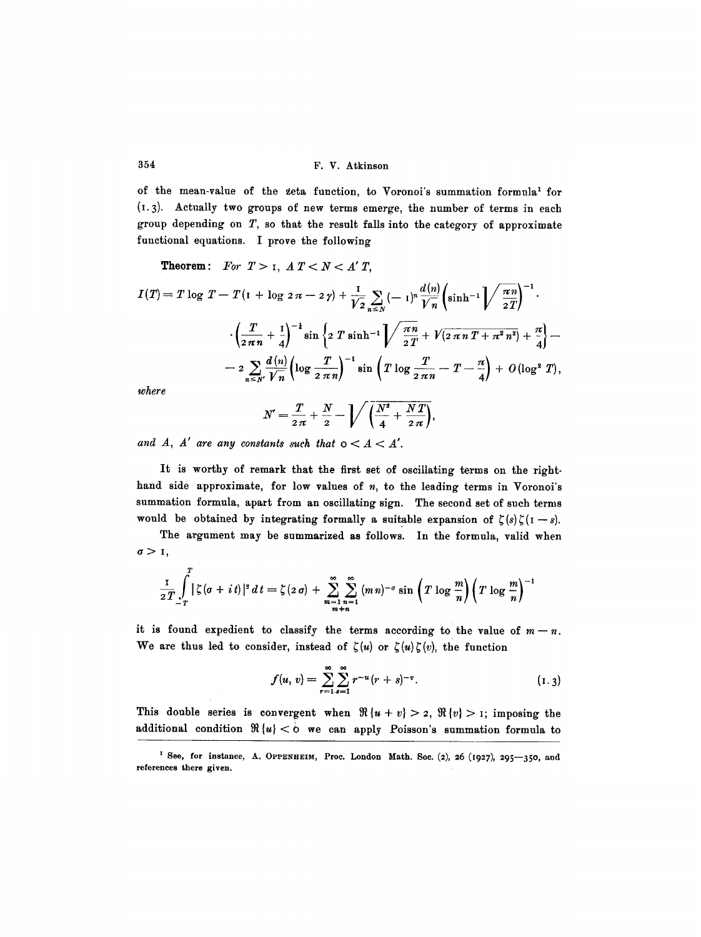354 F.V. Atkinson

of the mean-value of the zeta function, to Voronoi's summation formula<sup>1</sup> for (I.3). Actually two groups of new terms emerge, the number of terms in each group depending on  $T$ , so that the result falls into the category of approximate functional equations. I prove the following

**Theorem:** For 
$$
T > 1
$$
,  $A T < N < A' T$ ,  
\n
$$
I(T) = T \log T - T(1 + \log 2\pi - 2\gamma) + \frac{1}{V^2} \sum_{n \leq N} (-1)^n \frac{d(n)}{V^n} \left( \sinh^{-1} \sqrt{\frac{\pi n}{2T}} \right)^{-1}.
$$
\n
$$
\cdot \left( \frac{T}{2\pi n} + \frac{1}{4} \right)^{-1} \sin \left\{ 2 T \sinh^{-1} \sqrt{\frac{\pi n}{2T}} + V(2\pi n T + \pi^2 n^2) + \frac{\pi}{4} \right\} -
$$
\n
$$
- 2 \sum_{n \leq N'} \frac{d(n)}{V^n} \left( \log \frac{T}{2\pi n} \right)^{-1} \sin \left( T \log \frac{T}{2\pi n} - T - \frac{\pi}{4} \right) + O(\log^2 T),
$$
\nwhere

$$
N'=\frac{T}{2\pi}+\frac{N}{2}-\sqrt{\left(\frac{N^2}{4}+\frac{N T}{2\pi}\right)},
$$

and  $A$ ,  $A'$  are any constants such that  $0 < A < A'$ .

It is worthy of remark that the first set of oscillating terms on the righthand side approximate, for low values of  $n$ , to the leading terms in Voronoi's summation formula, apart from an oscillating sign. The second set of such terms would be obtained by integrating formally a suitable expansion of  $\zeta(s)\zeta(1-s)$ .

The argument may be summarized as follows. In the formula, valid when  $\sigma > 1$ ,

$$
\frac{1}{2T}\int\limits_{-T}^{T}|\zeta(\sigma+it)|^2\,dt=\zeta(2\,\sigma)+\sum\limits_{\substack{m=1\\m+n}}^{\infty}\sum\limits_{n=1}^{\infty}\left(m\,n\right)^{-\sigma}\sin\left(T\,\log\frac{m}{n}\right)\left(T\,\log\frac{m}{n}\right)^{-1}
$$

it is found expedient to classify the terms according to the value of  $m-n$ . We are thus led to consider, instead of  $\zeta(u)$  or  $\zeta(u)\zeta(v)$ , the function

$$
f(u, v) = \sum_{r=1}^{\infty} \sum_{s=1}^{\infty} r^{-u} (r+s)^{-v}.
$$
 (1.3)

This double series is convergent when  $\Re\{u+v\} > 2$ ,  $\Re\{v\} > 1$ ; imposing the additional condition  $\Re\{u\} < b$  we can apply Poisson's summation formula to

<sup>&</sup>lt;sup>1</sup> See, for instance, A. OPPENHEIM, Proc. London Math. Soc. (2), 26 (1927), 295-350, and references there given.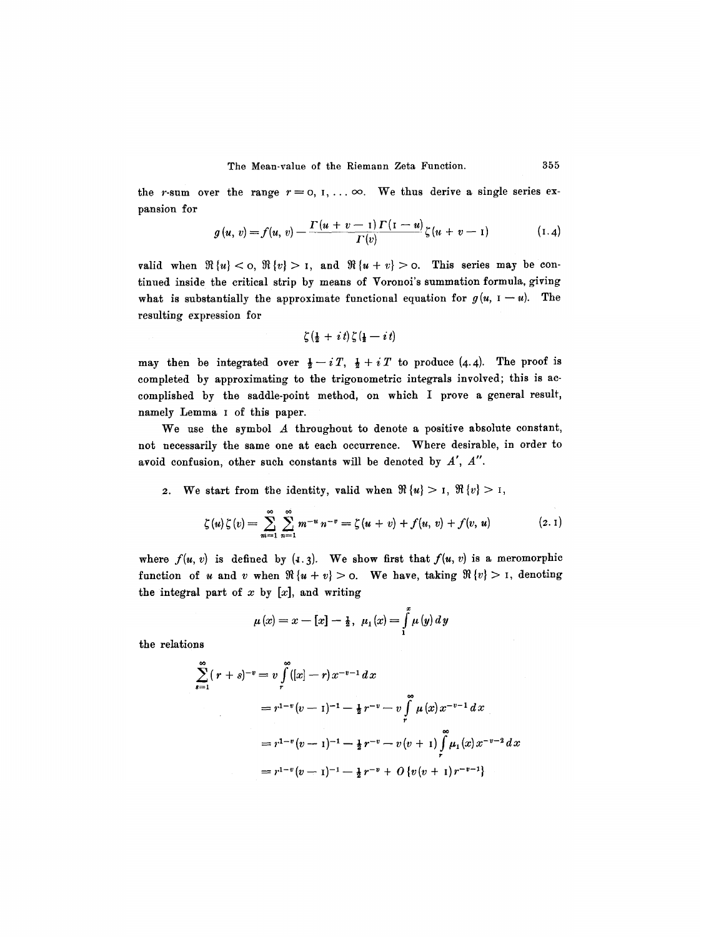the r-sum over the range  $r=0, 1,..., \infty$ . We thus derive a single series expansion for

$$
g(u, v) = f(u, v) - \frac{\Gamma(u + v - 1) \Gamma(1 - u)}{\Gamma(v)} \zeta(u + v - 1) \tag{1.4}
$$

valid when  $\Re\{u\} < \infty$ ,  $\Re\{v\} > 1$ , and  $\Re\{u+v\} > \infty$ . This series may be continned inside the critical strip by means of Voronoi's summation formula, giving what is substantially the approximate functional equation for  $g(u, I-u)$ . The resulting expression for

$$
\zeta(\tfrac{1}{2}+it)\zeta(\tfrac{1}{2}-it)
$$

may then be integrated over  $\frac{1}{2} - iT$ ,  $\frac{1}{2} + iT$  to produce (4.4). The proof is completed by approximating to the trigonometric integrals involved; this is accomplished by the saddle-point method, on which I prove a general result, namely Lemma I of this paper.

We use the symbol A throughout to denote a positive absolute constant, not necessarily the same one at each oecurrenee. Where desirable, in order to avoid confusion, other such constants will be denoted by  $A'$ ,  $A''$ .

2. We start from the identity, valid when  $\Re\{u\} > I$ ,  $\Re\{v\} > I$ ,

$$
\zeta(u)\zeta(v) = \sum_{m=1}^{\infty} \sum_{n=1}^{\infty} m^{-u} n^{-v} = \zeta(u+v) + f(u,v) + f(v,u) \qquad (2.1)
$$

where  $f(u, v)$  is defined by  $(1, 3)$ . We show first that  $f(u, v)$  is a meromorphic function of u and v when  $\Re\{u+v\} > 0$ . We have, taking  $\Re\{v\} > 1$ , denoting the integral part of  $x$  by  $[x]$ , and writing

$$
\mu(x) = x - [x] - \frac{1}{2}, \ \mu_1(x) = \int_{1}^{x} \mu(y) \, dy
$$

the relations

$$
\sum_{s=1}^{\infty} (r+s)^{-v} = v \int_{r}^{\infty} ([x]-r)x^{-v-1} dx
$$
  
=  $r^{1-v}(v-1)^{-1} - \frac{1}{2}r^{-v} - v \int_{r}^{\infty} \mu(x) x^{-v-1} dx$   
=  $r^{1-v}(v-1)^{-1} - \frac{1}{2}r^{-v} - v(v+1) \int_{r}^{\infty} \mu_1(x) x^{-v-2} dx$   
=  $r^{1-v}(v-1)^{-1} - \frac{1}{2}r^{-v} + O\{v(v+1)r^{-v-1}\}$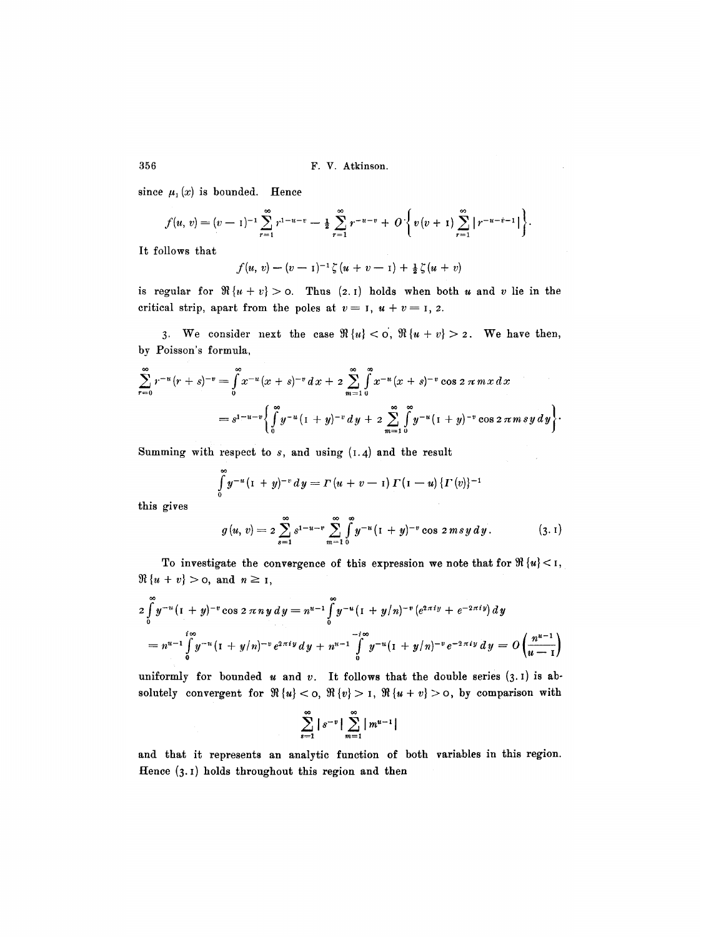### 356 F. V. Atkinson.

since  $\mu_1(x)$  is bounded. Hence

$$
f(u, v) = (v - 1)^{-1} \sum_{r=1}^{\infty} r^{1-u-v} - \frac{1}{2} \sum_{r=1}^{\infty} r^{-u-v} + O\left\{v(v+1) \sum_{r=1}^{\infty} |r^{-u-v-1}|\right\}.
$$

It follows that

$$
f(u, v) - (v - 1)^{-1} \zeta (u + v - 1) + \frac{1}{2} \zeta (u + v)
$$

is regular for  $\Re\{u + v\} > 0$ . Thus (2.1) holds when both u and v lie in the critical strip, apart from the poles at  $v = 1$ ,  $u + v = 1$ , 2.

3. We consider next the case  $\Re\{u\} < \infty$ ,  $\Re\{u+v\} > 2$ . We have then, by Poisson's formula,

$$
\sum_{r=0}^{\infty} r^{-u} (r+s)^{-v} = \int_{0}^{\infty} x^{-u} (x+s)^{-v} dx + 2 \sum_{m=1}^{\infty} \int_{0}^{\infty} x^{-u} (x+s)^{-v} \cos 2 \pi m x dx
$$
  
=  $s^{1-u-v} \left\{ \int_{0}^{\infty} y^{-u} (1+y)^{-v} dy + 2 \sum_{m=1}^{\infty} \int_{0}^{\infty} y^{-u} (1+y)^{-v} \cos 2 \pi m s y dy \right\}.$ 

Summing with respect to  $s$ , and using  $(I.4)$  and the result

$$
\int_{0}^{\infty} y^{-u} (1 + y)^{-v} dy = \Gamma (u + v - 1) \Gamma (1 - u) \{ \Gamma (v) \}^{-1}
$$

this gives

$$
g(u, v) = 2 \sum_{s=1}^{\infty} s^{1-u-v} \sum_{m=1}^{\infty} \int_{0}^{\infty} y^{-u} (1 + y)^{-v} \cos 2 m s y dy.
$$
 (3.1)

To investigate the convergence of this expression we note that for  $\Re\{u\} < 1$ ,  $\Re\{u + v\} > 0$ , and  $n \geq 1$ ,

$$
2\int_{0}^{\infty} y^{-u} (1+y)^{-v} \cos 2 \pi n y \, dy = n^{u-1} \int_{0}^{\infty} y^{-u} (1+y/n)^{-v} (e^{2\pi i y} + e^{-2\pi i y}) \, dy
$$
  
=  $n^{u-1} \int_{0}^{i\infty} y^{-u} (1+y/n)^{-v} e^{2\pi i y} \, dy + n^{u-1} \int_{0}^{-i\infty} y^{-u} (1+y/n)^{-v} e^{-2\pi i y} \, dy = O\left(\frac{n^{u-1}}{u-1}\right)$ 

uniformly for bounded u and v. It follows that the double series  $(3.1)$  is absolutely convergent for  $\Re\{u\} < \infty$ ,  $\Re\{v\} > 1$ ,  $\Re\{u + v\} > 0$ , by comparison with

$$
\sum_{s=1}^{\infty} |s^{-v}| \sum_{m=1}^{\infty} |m^{u-1}|
$$

and that it represents an analytic function of both variables in this region. Hence (3. I) holds throughout this region and then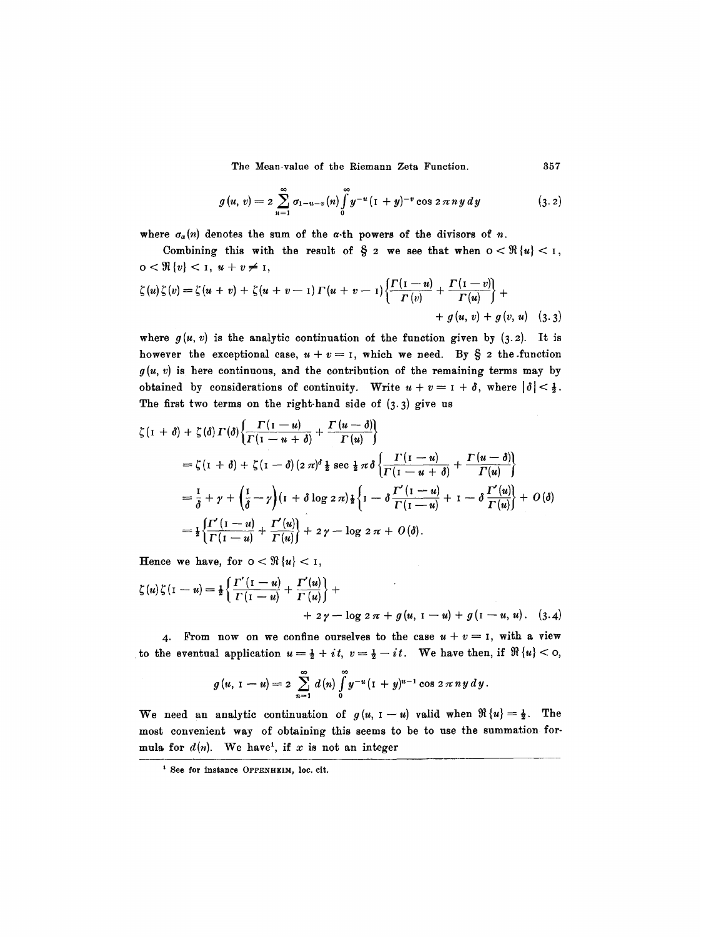$$
g(u, v) = 2 \sum_{n=1}^{\infty} \sigma_{1-u-v}(n) \int_{0}^{\infty} y^{-u} (1+y)^{-v} \cos 2 \pi n y dy \qquad (3.2)
$$

where  $\sigma_{\alpha}(n)$  denotes the sum of the  $\alpha$ -th powers of the divisors of n.

Combining this with the result of  $\S$  2 we see that when  $0 < \Re\{u\} < 1$ ,  $0 < \Re\{v\} < 1, u + v \neq 1,$ 

$$
\zeta(u)\zeta(v) = \zeta(u+v) + \zeta(u+v-1)\Gamma(u+v-1)\left\{\frac{\Gamma(1-u)}{\Gamma(v)} + \frac{\Gamma(1-v)}{\Gamma(u)}\right\} +
$$
  
+  $g(u, v) + g(v, u)$  (3.3)

where  $g(u, v)$  is the analytic continuation of the function given by (3.2). It is however the exceptional case,  $u + v = 1$ , which we need. By  $\S$  2 the function  $g(u, v)$  is here continuous, and the contribution of the remaining terms may by obtained by considerations of continuity. Write  $u + v = 1 + \delta$ , where  $|\delta| < \frac{1}{2}$ . The first two terms on the right-hand side of  $(3.3)$  give us

$$
\zeta(\mathbf{1} + \delta) + \zeta(\delta) \Gamma(\delta) \left\{ \frac{\Gamma(\mathbf{1} - u)}{\Gamma(\mathbf{1} - u + \delta)} + \frac{\Gamma(u - \delta)}{\Gamma(u)} \right\}
$$
\n
$$
= \zeta(\mathbf{1} + \delta) + \zeta(\mathbf{1} - \delta) (2 \pi)^{\delta} \frac{1}{2} \sec \frac{1}{2} \pi \delta \left\{ \frac{\Gamma(\mathbf{1} - u)}{\Gamma(\mathbf{1} - u + \delta)} + \frac{\Gamma(u - \delta)}{\Gamma(u)} \right\}
$$
\n
$$
= \frac{1}{\delta} + \gamma + \left( \frac{\mathbf{1}}{\delta} - \gamma \right) (\mathbf{1} + \delta \log 2 \pi) \frac{1}{2} \left\{ \mathbf{1} - \delta \frac{\Gamma'(\mathbf{1} - u)}{\Gamma(\mathbf{1} - u)} + \mathbf{1} - \delta \frac{\Gamma'(u)}{\Gamma(u)} \right\} + O(\delta)
$$
\n
$$
= \frac{1}{2} \left\{ \frac{\Gamma'(\mathbf{1} - u)}{\Gamma(\mathbf{1} - u)} + \frac{\Gamma'(u)}{\Gamma(u)} \right\} + 2 \gamma - \log 2 \pi + O(\delta).
$$

Hence we have, for  $0 < \Re\{u\} < 1$ ,

$$
\zeta(u)\zeta(\mathbf{I}-u) = \frac{1}{2}\left\{\frac{\Gamma'(\mathbf{I}-u)}{\Gamma(\mathbf{I}-u)} + \frac{\Gamma'(u)}{\Gamma(u)}\right\} + \\qquad \qquad + 2\gamma - \log 2\pi + g(u, \mathbf{I}-u) + g(\mathbf{I}-u, u). \quad (3.4)
$$

4. From now on we confine ourselves to the case  $u + v = I$ , with a view to the eventual application  $u=\frac{1}{2}+it$ ,  $v=\frac{1}{2}-it$ . We have then, if  $\Re\{u\}<\infty$ ,

$$
g(u, 1-u) = 2 \sum_{n=1}^{\infty} d(n) \int_{0}^{\infty} y^{-u} (1+y)^{u-1} \cos 2 \pi n y dy.
$$

We need an analytic continuation of  $g(u, I - u)$  valid when  $\Re\{u\} = \frac{1}{2}$ . The most convenient way of obtaining this seems to be to use the summation formula for  $d(n)$ . We have<sup>1</sup>, if x is not an integer

<sup>&</sup>lt;sup>1</sup> See for instance OPPENHEIM, loc. cit.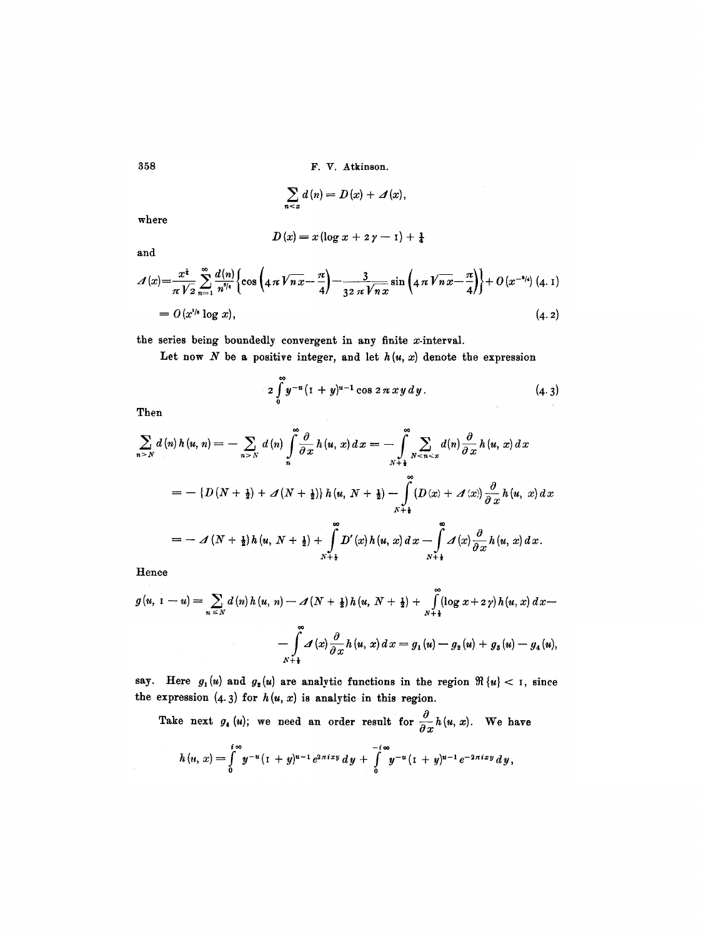**3ss** F. V. Atkinson.

$$
\sum_{n\leq x}d(n)=D(x)+\Delta(x),
$$

where

$$
D\left( x\right) =x\left( \log x+z\,\gamma -\mathrm{i}\right) +\tfrac{1}{4}
$$

and

$$
\mathcal{A}(x) = \frac{x^{\mathfrak{t}}}{\pi \sqrt{2}} \sum_{n=1}^{\infty} \frac{d(n)}{n^{s/4}} \left\{ \cos \left( 4 \pi \sqrt{n x} - \frac{\pi}{4} \right) - \frac{3}{32 \pi \sqrt{n x}} \sin \left( 4 \pi \sqrt{n x} - \frac{\pi}{4} \right) \right\} + O(x^{-s/4}) \tag{4.1}
$$
\n
$$
= O(x^{1/4} \log x), \tag{4.2}
$$

the series being boundedly convergent in any finite x-interval.

Let now N be a positive integer, and let  $h(u, x)$  denote the expression

$$
2\int_{0}^{\infty}y^{-u}(1+y)^{u-1}\cos 2\pi xy\,dy.\tag{4.3}
$$

Then

$$
\sum_{n>N} d(n) h(u, n) = - \sum_{n>N} d(n) \int_{n}^{\infty} \frac{\partial}{\partial x} h(u, x) dx = - \int_{N+1}^{\infty} \sum_{N \leq n \leq x} d(n) \frac{\partial}{\partial x} h(u, x) dx
$$
  
=  $- \{D(N + \frac{1}{2}) + \mathcal{A}(N + \frac{1}{2})\} h(u, N + \frac{1}{2}) - \int_{N+1}^{\infty} (D(x) + \mathcal{A}(x)) \frac{\partial}{\partial x} h(u, x) dx$   
=  $- \mathcal{A}(N + \frac{1}{2}) h(u, N + \frac{1}{2}) + \int_{N+1}^{\infty} D'(x) h(u, x) dx - \int_{N+1}^{\infty} \mathcal{A}(x) \frac{\partial}{\partial x} h(u, x) dx.$ 

Hence

$$
g(u, 1-u) = \sum_{n \leq N} d(n) h(u, n) - \Delta(N + \frac{1}{2}) h(u, N + \frac{1}{2}) + \int_{N+\frac{1}{2}}^{\infty} (\log x + 2\gamma) h(u, x) dx -
$$

$$
- \int_{N+\frac{1}{2}}^{\infty} \Delta(x) \frac{\partial}{\partial x} h(u, x) dx = g_1(u) - g_2(u) + g_3(u) - g_4(u),
$$

say. Here  $g_1(u)$  and  $g_2(u)$  are analytic functions in the region  $\Re\{u\} < 1$ , since the expression  $(4.3)$  for  $h(u, x)$  is analytic in this region.

Take next  $g_4(u)$ ; we need an order result for  $\frac{\partial}{\partial x} h(u,x)$ . We have

$$
h(u, x) = \int_{0}^{i\infty} y^{-u} (1 + y)^{u-1} e^{2\pi i x y} dy + \int_{0}^{-i\infty} y^{-u} (1 + y)^{u-1} e^{-2\pi i x y} dy,
$$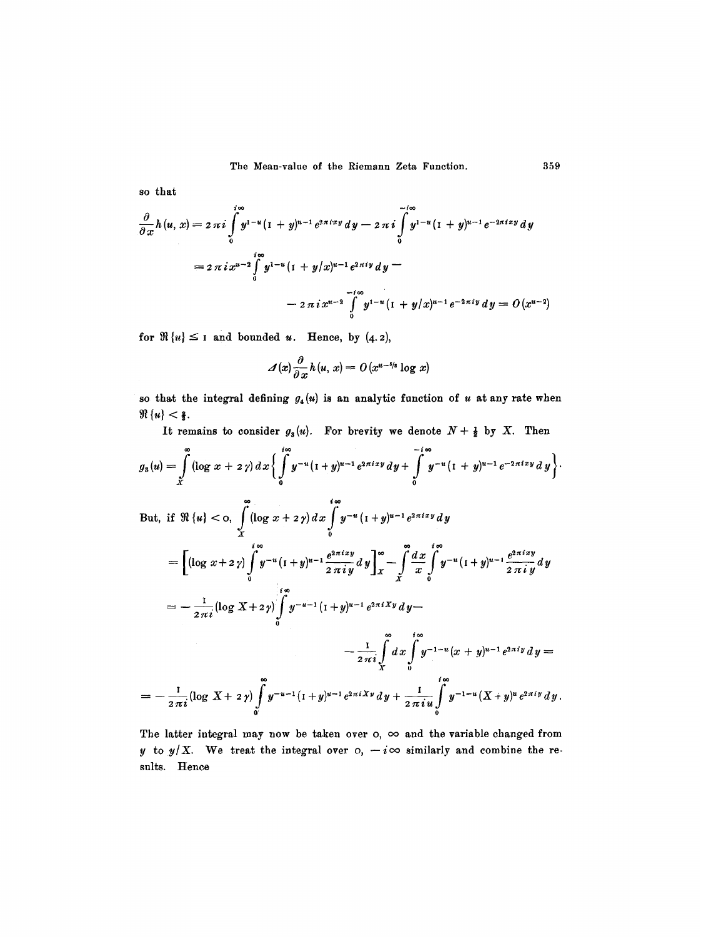**so that** 

$$
\frac{\partial}{\partial x}h(u, x) = 2 \pi i \int_{0}^{i\infty} y^{1-u} (1+y)^{u-1} e^{2\pi i x y} dy - 2 \pi i \int_{0}^{-i\infty} y^{1-u} (1+y)^{u-1} e^{-2\pi i x y} dy
$$
  
=  $2 \pi i x^{u-2} \int_{0}^{i\infty} y^{1-u} (1+y/x)^{u-1} e^{2\pi i y} dy -$   
 $- 2 \pi i x^{u-2} \int_{0}^{i\infty} y^{1-u} (1+y/x)^{u-1} e^{-2\pi i y} dy = O(x^{u-2})$ 

for  $\Re\{u\} \leq 1$  and bounded u. Hence, by  $(4.2)$ ,

$$
\mathcal{A}(x)\frac{\partial}{\partial x}h(u, x) = O(x^{u-5/s}\log x)
$$

so that the integral defining  $g_4(u)$  is an analytic function of u at any rate when  $\Re\{u\} < \frac{2}{3}.$ 

It remains to consider  $g_3(u)$ . For brevity we denote  $N + \frac{1}{2}$  by X. Then

$$
g_{3}(u) = \int_{x}^{\infty} (\log x + 2y) dx \left\{ \int_{0}^{i\infty} y^{-u} (1+y)^{u-1} e^{2\pi i x y} dy + \int_{0}^{-i\infty} y^{-u} (1+y)^{u-1} e^{-2\pi i x y} dy \right\}.
$$
  
But, if  $\Re \{u\} < \infty$ ,  $\int_{x}^{\infty} (\log x + 2y) dx \int_{0}^{i\infty} y^{-u} (1+y)^{u-1} e^{2\pi i x y} dy$   

$$
= \left[ (\log x + 2y) \int_{0}^{i\infty} y^{-u} (1+y)^{u-1} \frac{e^{2\pi i x y}}{2\pi i y} dy \right]_{x}^{\infty} - \int_{x}^{\infty} \frac{dx}{x} \int_{0}^{i\infty} y^{-u} (1+y)^{u-1} \frac{e^{2\pi i x y}}{2\pi i y} dy
$$
  

$$
= -\frac{1}{2\pi i} (\log X + 2y) \int_{0}^{i\infty} y^{-u-1} (1+y)^{u-1} e^{2\pi i X y} dy -
$$
  

$$
- \frac{1}{2\pi i} \int_{x}^{\infty} dx \int_{0}^{i\infty} y^{-1-u} (x+y)^{u-1} e^{2\pi i y} dy =
$$
  

$$
= -\frac{1}{2\pi i} (\log X + 2y) \int_{0}^{\infty} y^{-u-1} (1+y)^{u-1} e^{2\pi i X y} dy + \frac{1}{2\pi i u} \int_{0}^{i\infty} y^{-1-u} (X+y)^{u} e^{2\pi i y} dy.
$$

The latter integral may now be taken over  $o$ ,  $\infty$  and the variable changed from y to  $y/X$ . We treat the integral over  $\circ$ ,  $-i\infty$  similarly and combine the re**sults. Hence**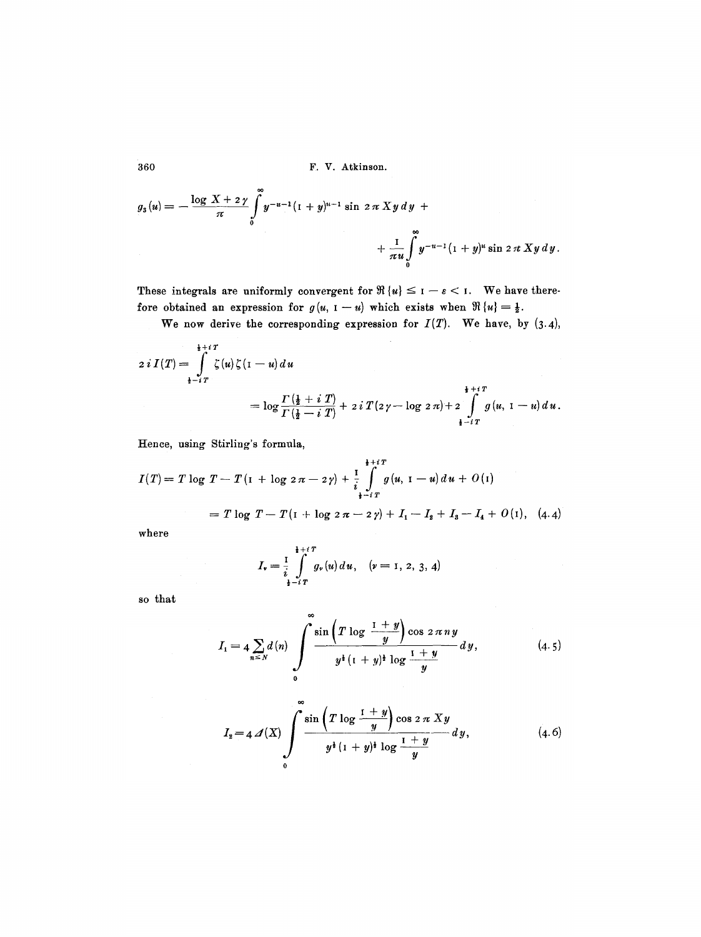360 F.V. Atkinson.

$$
g_{3}(u) = -\frac{\log X + 2\gamma}{\pi} \int_{0}^{\infty} y^{-u-1}(1+y)^{u-1} \sin 2\pi X y dy + + \frac{1}{\pi u} \int_{0}^{\infty} y^{-u-1}(1+y)^{u} \sin 2\pi X y dy.
$$

These integrals are uniformly convergent for  $\Re\{u\} \leq 1 - \varepsilon < 1$ . We have therefore obtained an expression for  $g(u, 1-u)$  which exists when  $\Re\{u\} = \frac{1}{2}$ .

We now derive the corresponding expression for  $I(T)$ . We have, by  $(3.4)$ ,

$$
2 i I(T) = \int_{\frac{1}{2} - iT}^{\frac{1}{2} + iT} \zeta(u) \zeta(\mathbf{I} - u) du
$$
  
=  $\log \frac{\Gamma(\frac{1}{2} + iT)}{\Gamma(\frac{1}{2} - iT)} + 2 i T(2\gamma - \log 2\pi) + 2 \int_{\frac{1}{2} - iT}^{\frac{1}{2} + iT} g(u, \mathbf{I} - u) du.$ 

Eence, using Stirling's formula,

$$
I(T) = T \log T - T (1 + \log 2 \pi - 2 \gamma) + \frac{1}{i} \int_{\frac{1}{2} - iT}^{\frac{1}{2} + iT} g(u, 1 - u) du + O(1)
$$
  
=  $T \log T - T (1 + \log 2 \pi - 2 \gamma) + I_1 - I_2 + I_3 - I_4 + O(1), (4.4)$ 

where

$$
I_v = \frac{1}{i} \int_{\frac{1}{2} - i\,T}^{\frac{1}{2} + i\,T} g_v(u) \, du, \quad (v = 1, \, 2, \, 3, \, 4)
$$

oo

so that

$$
I_1 = 4 \sum_{n \leq N} d(n) \int_{0}^{\infty} \frac{\sin \left( T \log \frac{1+y}{y} \right) \cos 2 \pi n y}{y^{\frac{1}{2}} (1+y)^{\frac{1}{2}} \log \frac{1+y}{y}} dy, \tag{4.5}
$$

$$
I_2 = 4 \, \mathcal{A}(X) \int\limits_{0}^{\infty} \frac{\sin \left( T \log \frac{1+y}{y} \right) \cos 2 \, \pi \, X y}{y^{\frac{1}{2}} \left( 1 + y \right)^{\frac{1}{2}} \log \frac{1+y}{y}} \, dy, \tag{4.6}
$$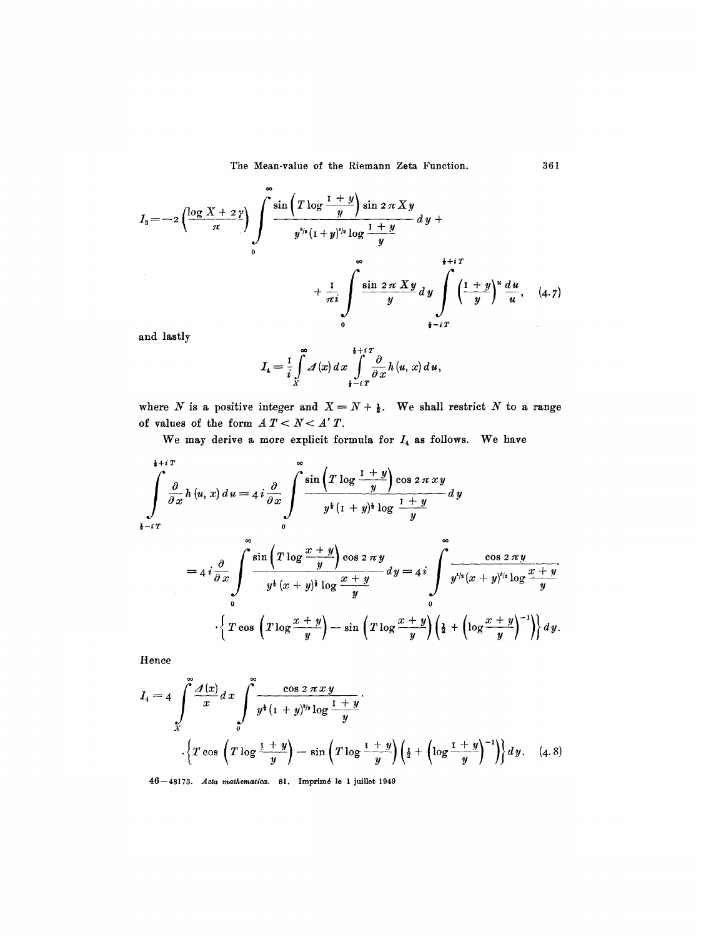$$
I_3 = -2\left(\frac{\log X + 2\gamma}{\pi}\right) \int\limits_{0}^{\infty} \frac{\sin\left(T\log\frac{1+y}{y}\right)\sin 2\pi X y}{y^{s/s}(1+y)^{s/s}\log\frac{1+y}{y}} dy + \frac{1}{\pi i} \int\limits_{0}^{\infty} \frac{\sin 2\pi X y}{y} dy \int\limits_{0}^{\frac{1}{\pi}+iT} \left(\frac{1+y}{y}\right)^u \frac{du}{u}, \quad (4.7)
$$

and lastly

$$
I_4 = \frac{1}{i} \int\limits_x^\infty \mathcal{A}(x) \, dx \int\limits_{\frac{1}{2} - i\, T}^{\frac{1}{2} + i\, T} \frac{\partial}{\partial x} \, h \, (u, \, x) \, d\, u \, ,
$$

where N is a positive integer and  $X = N + \frac{1}{2}$ . We shall restrict N to a range of values of the form  $A T < N < A' T$ .

We may derive a more explicit formula for  $I_4$  as follows. We have

$$
\int_{\mathbf{i}-i\,T}^{\mathbf{i}+i\,T} \frac{\partial}{\partial x} h(u,x) \, du = 4 \, i \frac{\partial}{\partial x} \int_{0}^{\infty} \frac{\sin\left(T \log \frac{1+y}{y}\right) \cos 2 \pi \, xy}{y^{\mathbf{i}} \left(1+y\right)^{\mathbf{i}} \log \frac{1+y}{y}} \, dy
$$

$$
=4i\frac{\partial}{\partial x}\int\limits_{0}^{\infty}\frac{\sin\left(T\log\frac{x+y}{y}\right)\cos 2\pi y}{y^4(x+y)^4\log\frac{x+y}{y}}dy=4i\int\limits_{0}^{\infty}\frac{\cos 2\pi y}{y^{1/4}(x+y)^{5/4}\log\frac{x+y}{y}}{\frac{y^{1/4}(x+y)^{5/4}\log\frac{x+y}{y}}{\left(\frac{1}{2}+\left(\log\frac{x+y}{y}\right)^{-1}\right)}dy.
$$

Hence

$$
I_4 = 4 \int_{X}^{\infty} \frac{\mathcal{A}(x)}{x} dx \int_{0}^{\infty} \frac{\cos 2 \pi x y}{y^{\frac{1}{4}} (1 + y)^{5/2} \log \frac{1 + y}{y}} \cdot \left\{ T \cos \left( T \log \frac{1 + y}{y} \right) - \sin \left( T \log \frac{1 + y}{y} \right) \left( \frac{1}{2} + \left( \log \frac{1 + y}{y} \right)^{-1} \right) \right\} dy. \quad (4.8)
$$

46 - 48173. Acta mathematica. 81. Imprimé le 1 juillet 1949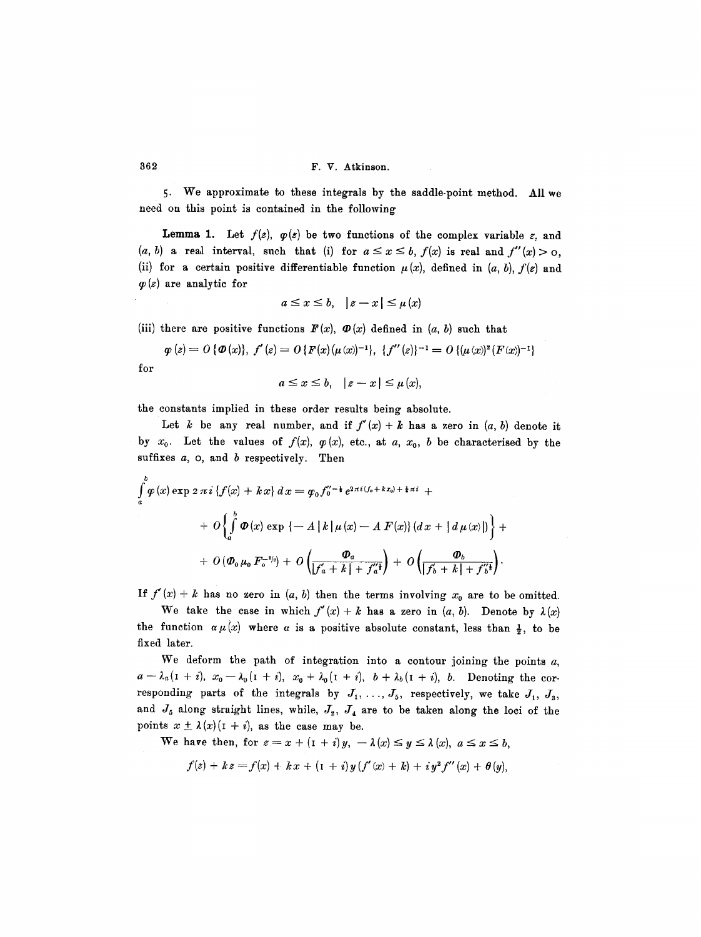5. We approximate to these integrals by the saddle-point method. All we need on this point is contained in the following

**Lemma 1.** Let  $f(z)$ ,  $\varphi(z)$  be two functions of the complex variable z, and  $(a, b)$  a real interval, such that (i) for  $a \leq x \leq b$ ,  $f(x)$  is real and  $f''(x) > 0$ , (ii) for a certain positive differentiable function  $\mu(x)$ , defined in  $(a, b)$ ,  $f(z)$  and  $\varphi(z)$  are analytic for

$$
a \leq x \leq b, \quad |z - x| \leq \mu(x)
$$

(iii) there are positive functions  $F(x)$ ,  $\Phi(x)$  defined in  $(a, b)$  such that

 $\varphi(z) = O\{\varPhi(x)\},\ f'(z) = O\{F(x)(\mu(x))^{-1}\},\ \{f''(z)\}^{-1} = O\{\mu(x)^2(F(x))^{-1}\}$ 

$$
\hspace{0.5cm} \textbf{for}
$$

 $a\leq x\leq b, \quad |z-x|\leq \mu(x),$ 

the constants implied in these order results being absolute.

Let k be any real number, and if  $f'(x) + k$  has a zero in  $(a, b)$  denote it by  $x_0$ . Let the values of  $f(x)$ ,  $\varphi(x)$ , etc., at a,  $x_0$ , b be characterised by the suffixes  $a$ ,  $o$ , and  $b$  respectively. Then

$$
\int_a^b \varphi(x) \exp 2 \pi i \{ f(x) + kx \} dx = \varphi_0 f_0''^{-\frac{1}{2}} e^{2 \pi i (f_0 + kx_0) + \frac{1}{4} \pi i} +
$$
  
+ 
$$
O\left\{ \int_a^b \varPhi(x) \exp \{-A |k| \mu(x) - A F(x) \} (dx + |d \mu(x)|) \right\} +
$$
  
+ 
$$
O(\varPhi_0 \mu_0 F_0^{-s/s}) + O\left( \frac{\varPhi_a}{|f_a + k| + f_a'^{\frac{1}{4}}} \right) + O\left( \frac{\varPhi_b}{|f_b + k| + f_b'^{\frac{1}{2}}} \right).
$$

If  $f'(x) + k$  has no zero in  $(a, b)$  then the terms involving  $x_0$  are to be omitted.

We take the case in which  $f'(x)+k$  has a zero in  $(a, b)$ . Denote by  $\lambda(x)$ the function  $\alpha \mu(x)$  where  $\alpha$  is a positive absolute constant, less than  $\frac{1}{2}$ , to be fixed later.

We deform the path of integration into a contour joining the points  $a$ ,  $a - \lambda_a (1 + i), x_0 - \lambda_0 (1 + i), x_0 + \lambda_0 (1 + i), b + \lambda_0 (1 + i), b.$  Denoting the corresponding parts of the integrals by  $J_1, \ldots, J_5$ , respectively, we take  $J_1, J_3$ , and  $J_5$  along straight lines, while,  $J_2$ ,  $J_4$  are to be taken along the loci of the points  $x \pm \lambda(x)(1 + i)$ , as the case may be.

We have then, for  $z=x+(1+i)y$ ,  $-\lambda(x) \leq y \leq \lambda(x)$ ,  $a \leq x \leq b$ ,

$$
f(z) + k z = f(x) + k x + (1 + i) y (f'(x) + k) + i y^{2} f''(x) + \theta (y),
$$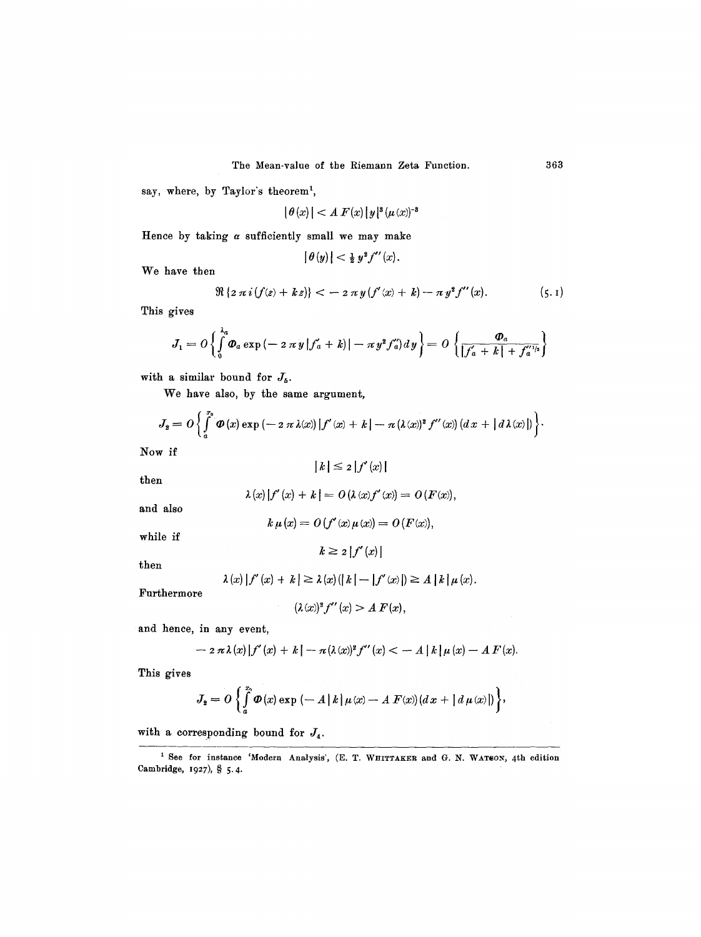say, where, by Taylor's theorem<sup>1</sup>,

$$
|\,\theta\,(x)\,| < A\,F(x)\,|\,y\,|^{\mathbf{3}}\,(\mu\,(x))^{-\mathbf{3}}
$$

Hence by taking  $\alpha$  sufficiently small we may make

$$
|\theta(y)| < \frac{1}{2} y^2 f''(x).
$$

We have then

$$
\Re\left\{2\,\pi\,i\,(f(z)+k\,z)\right\} < -\,2\,\pi\,y\,(f'(x)+k)-\pi\,y^2f''(x). \tag{5.1}
$$

This gives

$$
J_1 = O\left\{\int_0^{\lambda_a} \Phi_a \exp\left(-2\,\pi\,y\,|f'_a + k\right)\right\} - \pi\,y^2 f''_a\right\} = O\left\{\frac{\Phi_a}{|f'_a + k| + f''_a}\right\}
$$

with a similar bound for  $J_5$ .

We have also, by the same argument,

$$
J_2 = O\left\{\int_a^{x_0} \Phi(x) \exp(-2 \pi \lambda(x)) |f'(x) + k| - \pi (\lambda(x))^2 f''(x) (dx + |d \lambda(x)|)\right\}.
$$

Now if

$$
|k| \leq 2 |f'(x)|
$$

then

$$
\lambda(x)[f'(x) + k] = O(\lambda(x)f'(x)) = O(F(x)),
$$

and also

$$
k \mu(x) = O(f'(x)\mu(x)) = O(F(x)),
$$

while if

$$
f_{\rm{max}}
$$

then

$$
\lambda(x) |f'(x) + k| \geq \lambda(x) (|k| - |f'(x)|) \geq A |k| \mu(x).
$$

 $k \geq 2 |f'(x)|$ 

Furthermore

$$
(\lambda(x))^2 f''(x) > A F(x),
$$

and hence, in any event,

$$
- 2 \pi \lambda(x) |f'(x) + k| - \pi (\lambda(x))^2 f''(x) < - A |k| \mu(x) - A F(x).
$$

This gives

$$
J_{2} = O \left\{ \int_{a}^{x_{0}} \Phi(x) \exp \left(-A |k| \mu(x) - A F(x) \right) (dx + |d \mu(x)|) \right\},\
$$

with a corresponding bound for  $J_4$ .

<sup>&</sup>lt;sup>1</sup> See for instance 'Modern Analysis', (E. T. WHITTAKER and G. N. WATSON, 4th edition Cambridge, 1927), § 5.4.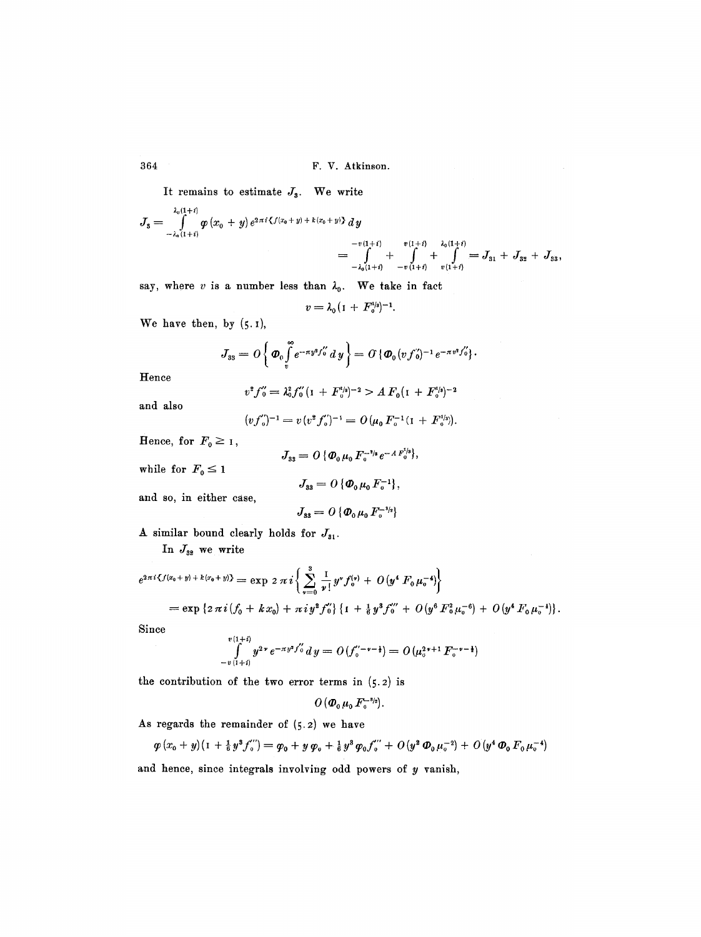364 F.V. Atkinson.

It remains to estimate  $J_3$ . We write

$$
J_3 = \int_{-\lambda_0(1+i)}^{\lambda_0(1+i)} \varphi(x_0 + y) e^{2\pi i \langle f(x_0 + y) + k(x_0 + y) \rangle} dy
$$
  
=  $\int_{-\lambda_0(1+i)}^{\lambda_0(1+i)} \frac{v(1+i)}{1 + \lambda_0(1+i)} = J_{31} + J_{32} + J_{33},$ 

$$
= \int_{-\lambda_0(1+i)} + \int_{-v(1+i)} + \int_{v(1+i)} = J_{31}
$$

say, where v is a number less than  $\lambda_0$ . We take in fact

$$
v=\lambda_0(1+F_0^{1/3})^{-1}.
$$

We have then, by  $(5.1)$ ,

$$
J_{33} = O\left\{\boldsymbol{\Phi}_0 \int_v^{\infty} e^{-\pi y^2 f_0''} dy \right\} = O\left\{\boldsymbol{\Phi}_0 (v f_0')^{-1} e^{-\pi v^2 f_0''} \right\}.
$$

Hence

$$
v^2 f_0'' = \lambda_0^2 f_0'' (1 + F_0'^{1/2})^{-2} > A F_0 (1 + F_0'^{1/2})^{-2}
$$

and also

$$
(v f_0'')^{-1} = v (v^2 f_0')^{-1} = O(\mu_0 F_0^{-1} (I + F_0^{1/s}))
$$

Hence, for  $F_0 \geq 1$ ,

$$
J_{33}=O\,\{\Phi_0\,\mu_0\,F_0^{-3/8}\,e^{-A\,F_0^{1/8}}\},
$$

while for  $F_0 \leq 1$ 

$$
J_{33}=O\{\boldsymbol{\Phi}_0\,\mu_0\,F_0^{-1}\},\,
$$

and so, in either case,

$$
J_{33}=O\{\boldsymbol{\Phi}_0\,\mu_0\,F_{\scriptscriptstyle 0}^{-\scriptscriptstyle 3\!/\!2}\}
$$

A similar bound clearly holds for  $J_{31}$ .

In  $J_{32}$  we write

$$
e^{2\pi i \langle f(x_0+y)+k(x_0+y)\rangle} = \exp 2\pi i \left\{ \sum_{\nu=0}^3 \frac{1}{\nu!} y^{\nu} f_0^{(\nu)} + O(y^4 F_0 \mu_0^{-4}) \right\}
$$
  
=  $\exp \left\{ 2\pi i (f_0 + kx_0) + \pi i y^2 f_0^{(\nu)} \right\} \left\{ 1 + \frac{1}{6} y^3 f_0^{(\nu)} + O(y^6 F_0^2 \mu_0^{-6}) + O(y^4 F_0 \mu_0^{-4}) \right\}.$ 

Since

$$
\int_{-v(1+i)}^{v(1+i)} y^{2\nu} e^{-\pi y^2 f_0''} dy = O(f_0''^{-\nu-\frac{1}{2}}) = O(\mu_0^{2\nu+1} F_0^{-\nu-\frac{1}{2}})
$$

the contribution of the two error terms in  $(5.2)$  is

$$
O\left(\boldsymbol{\Phi}_0\,\mu_0\,F_\mathrm{o}^{-\mathbf{s}_{2}}\right).
$$

As regards the remainder of (5.2) we have

$$
\varphi(x_0+y)(1+\tfrac{1}{6}y^3f_{0}^{''})=\varphi_0+y\,\varphi_0+\tfrac{1}{6}y^3\,\varphi_0f_{0}^{''}+O(y^2\,\Phi_0\,\mu_{0}^{-2})+O(y^4\,\Phi_0\,F_0\,\mu_{0}^{-4})
$$

and hence, since integrals involving odd powers of  $y$  vanish,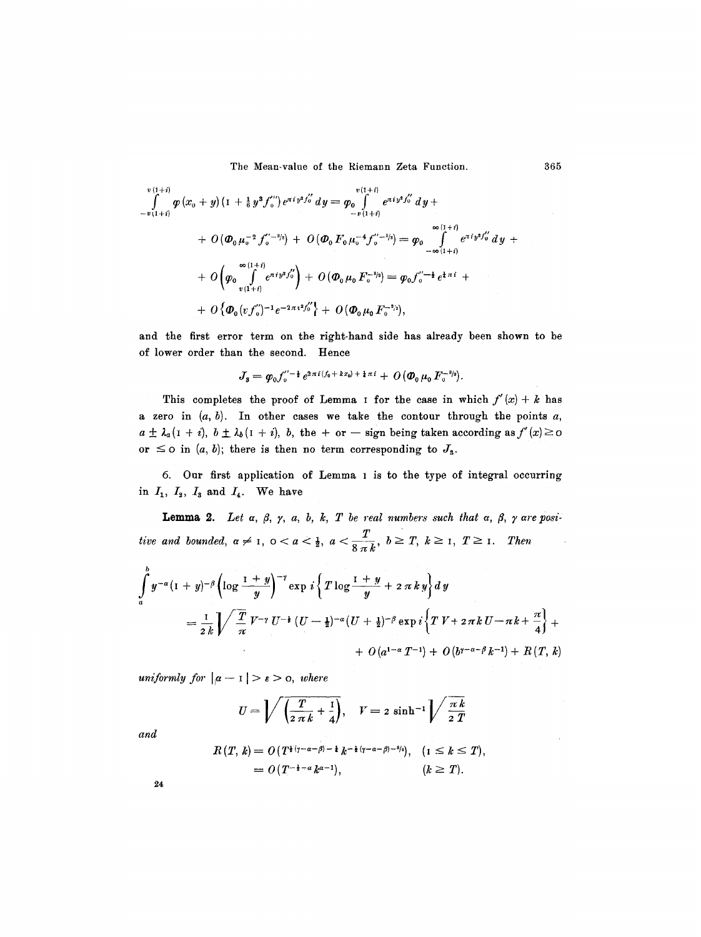$$
\int_{-v(1+i)}^{v(1+i)} \varphi(x_0+y) (1+\tfrac{1}{6}y^3 f_0'') e^{\pi i y^2 f_0'} dy = \varphi_0 \int_{-v(1+i)}^{v(1+i)} e^{\pi i y^2 f_0'} dy +
$$
\n
$$
+ O(\Phi_0 \mu_0^{-2} f_0'^{-3/2}) + O(\Phi_0 F_0 \mu_0^{-4} f_0'^{-5/2}) = \varphi_0 \int_{-\infty}^{\infty} \int_{(1+i)}^{(1+i)} e^{\pi i y^2 f_0'} dy +
$$
\n
$$
+ O\left(\varphi_0 \int_{v(1+i)}^{\infty} e^{\pi i y^2 f_0'} \right) + O(\Phi_0 \mu_0 F_0^{-3/2}) = \varphi_0 f_0'^{-1} e^{\frac{1}{4} \pi i} +
$$
\n
$$
+ O\left\{\Phi_0 (v f_0')^{-1} e^{-2 \pi v^2 f_0'} \right\} + O(\Phi_0 \mu_0 F_0^{-3/2}),
$$

and the first error term on the right-hand side has already been shown to be of lower order than the second. Hence

$$
J_3 = \varphi_0 f_0^{\prime\prime - \frac{1}{2}} e^{2\pi i (f_0 + k x_0) + \frac{1}{4} \pi i} + O(\Phi_0 \mu_0 F_0^{-3/2}).
$$

This completes the proof of Lemma I for the case in which  $f'(x) + k$  has a zero in  $(a, b)$ . In other cases we take the contour through the points a,  $a \pm \lambda_a (1 + i), b \pm \lambda_b (1 + i), b$ , the + or - sign being taken according as  $f'(x) \ge 0$ or  $\leq$  o in  $(a, b)$ ; there is then no term corresponding to  $J_{s}$ .

6. Our first application of Lemma I is to the type of integral occurring in  $I_1$ ,  $I_2$ ,  $I_3$  and  $I_4$ . We have

**Lemma 2.** Let  $\alpha$ ,  $\beta$ ,  $\gamma$ ,  $a$ ,  $b$ ,  $k$ ,  $T$  be real numbers such that  $\alpha$ ,  $\beta$ ,  $\gamma$  are posi*tive and bounded,*  $\alpha \neq 1$ ,  $0 < \alpha < \frac{1}{2}$ ,  $\alpha < \frac{T}{8 \pi k}$ ,  $b \geq T$ ,  $k \geq 1$ ,  $T \geq 1$ . Then

$$
\int_a^b y^{-\alpha} (1+y)^{-\beta} \left( \log \frac{1+y}{y} \right)^{-\gamma} \exp i \left\{ T \log \frac{1+y}{y} + 2 \pi k y \right\} dy
$$
\n
$$
= \frac{1}{2k} \int \sqrt{\frac{T}{\pi}} V^{-\gamma} U^{-\frac{1}{2}} (U - \frac{1}{2})^{-\alpha} (U + \frac{1}{2})^{-\beta} \exp i \left\{ T V + 2 \pi k U - \pi k + \frac{\pi}{4} \right\} + O(a^{1-\alpha} T^{-1}) + O(b^{1-\alpha-\beta} k^{-1}) + R(T, k)
$$

*uniformly for*  $|\alpha - I| > \epsilon > 0$ , where

$$
U = \sqrt{\left(\frac{T}{2 \pi k} + \frac{1}{4}\right)}, \quad V = 2 \sinh^{-1} \sqrt{\frac{\pi k}{2 T}}
$$

*and* 

$$
R(T, k) = O(T^{\frac{1}{2}(\gamma - \alpha - \beta) - \frac{1}{2}} k^{-\frac{1}{2}(\gamma - \alpha - \beta) - \frac{5}{4}}), \quad (1 \leq k \leq T),
$$
  
=  $O(T^{-\frac{1}{2} - \alpha} k^{\alpha - 1}), \quad (k \geq T).$ 

*24*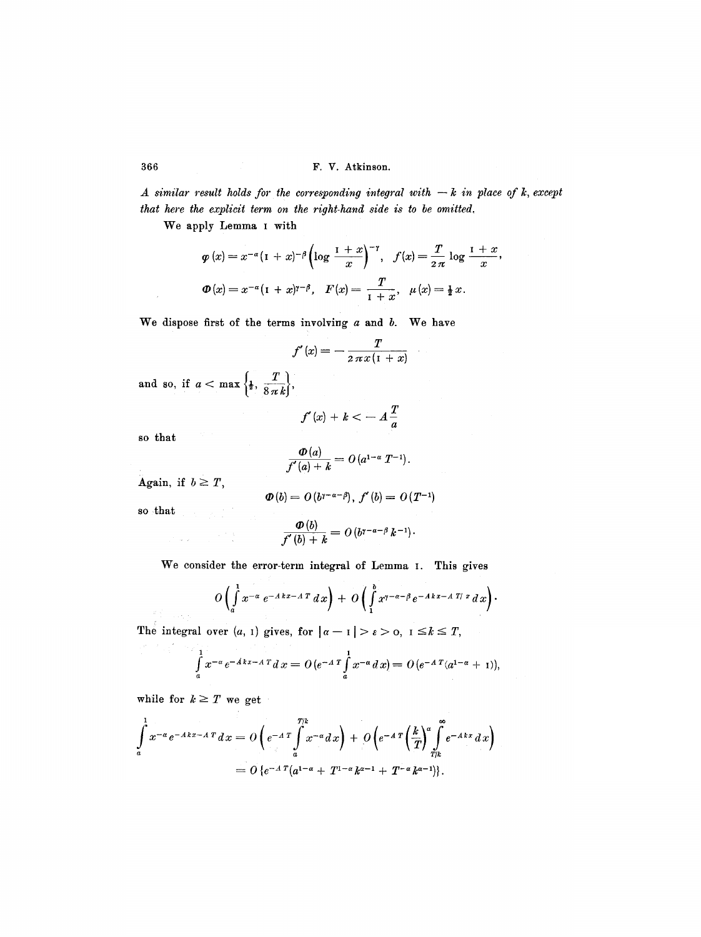*A similar result holds for the corresponding integral with*  $-k$  *in place of k, except that here the explicit term on the right-hand side is to be omitted,* 

We apply Lemma I with

$$
\varphi(x) = x^{-\alpha} (1+x)^{-\beta} \left( \log \frac{1+x}{x} \right)^{-\gamma}, \quad f(x) = \frac{T}{2\pi} \log \frac{1+x}{x}
$$

$$
\varphi(x) = x^{-\alpha} (1+x)^{\gamma-\beta}, \quad F(x) = \frac{T}{1+x}, \quad \mu(x) = \frac{1}{2}x.
$$

We dispose first of the terms involving  $a$  and  $b$ . We have

$$
f'(x) = -\frac{T}{2\,\pi\,x\,(1+x)}
$$

i,

and so, if  $a < \max\left\{\frac{1}{2}, \frac{T}{8\pi}\right\}$ 

$$
f'(x) + k < -A\frac{T}{a}
$$

so that

 $\bar{z}$ 

$$
\frac{\varPhi(a)}{f'(a)+k}=O(a^{1-\alpha}T^{-1}).
$$

Again, if  $b \geq T$ ,

 $\mathcal{O}(\log n)$ 

$$
\boldsymbol{\Phi}(b) = O\left(b^{\gamma - \alpha - \beta}\right), \ f'(b) = O\left(T^{-1}\right)
$$

so that

*; 1* 

$$
\frac{\boldsymbol{\Phi}(b)}{f'(b)+k} = O\left(b^{\gamma-a-\beta}k^{-1}\right).
$$

We consider the error-term integral of Lemma I. This gives

$$
O\left(\int\limits_a^1 x^{-\alpha} e^{-A k x - A T} dx\right) + O\left(\int\limits_1^b x^{\gamma-\alpha-\beta} e^{-A k x - A T / x} dx\right).
$$

The integral over  $(a, 1)$  gives, for  $|a-1| > \varepsilon > 0$ ,  $1 \le k \le T$ ,

$$
\int_{a}^{1} x^{-\alpha} e^{-A k x - A T} dx = O(e^{-A T} \int_{a}^{1} x^{-\alpha} dx) = O(e^{-A T} (a^{1-\alpha} + 1)),
$$

while for  $k \geq T$  we get

$$
\int_a^1 x^{-\alpha} e^{-Akx-A\,T} dx = O\left(e^{-A\,T}\int_a^{T/k} x^{-\alpha} dx\right) + O\left(e^{-A\,T}\left(\frac{k}{T}\right)^{\alpha}\int_{T/k}^{\infty} e^{-Akx}\,dx\right)
$$

$$
= O\left\{e^{-A\,T}\left(a^{1-\alpha} + T^{1-\alpha}k^{\alpha-1} + T^{-\alpha}k^{\alpha-1}\right)\right\}.
$$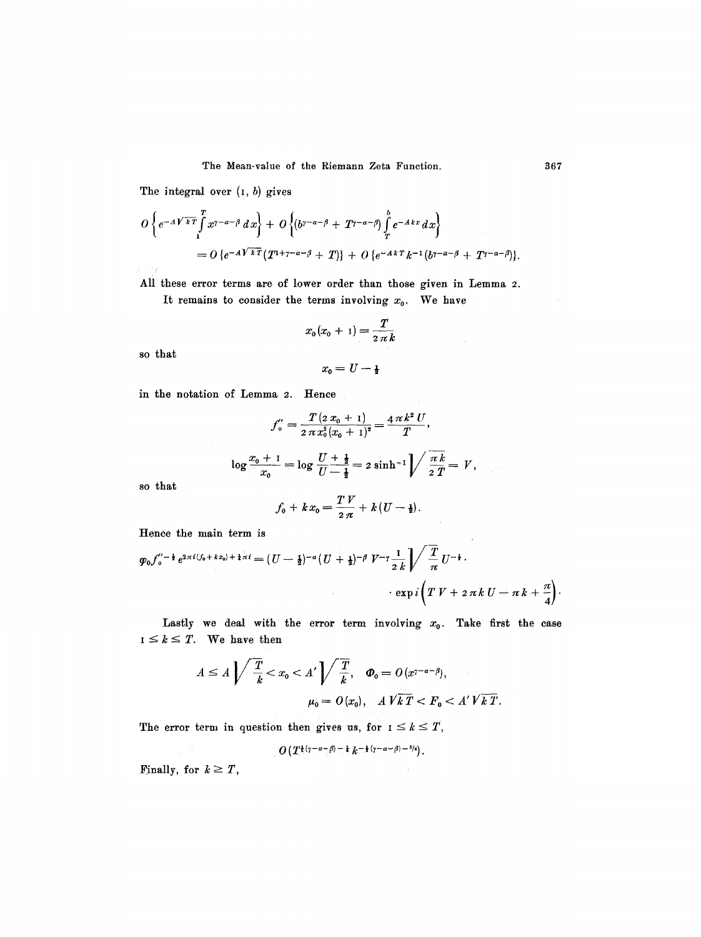The integral over  $(i, b)$  gives

$$
O\left\{e^{-A\sqrt{kT}}\int\limits_{1}^{T}x^{\gamma-\alpha-\beta}\,dx\right\}+O\left\{\left(b^{\gamma-\alpha-\beta}+T^{\gamma-\alpha-\beta}\right)\int\limits_{T}^{\delta}e^{-A\,kx}\,dx\right\}
$$
\n
$$
=O\left\{e^{-A\sqrt{kT}}\left(T^{1+\gamma-\alpha-\beta}+T\right)\right\}+O\left\{e^{-A\,kT}\,k^{-1}\left(b^{\gamma-\alpha-\beta}+T^{\gamma-\alpha-\beta}\right)\right\}.
$$

All these error terms are of lower order than those given in Lemma 2. It remains to consider the terms involving  $x_0$ . We have

$$
x_0(x_0+1)=\frac{T}{2\pi k}
$$

so that

$$
x_{\mathbf{0}}=U-\tfrac{1}{2}
$$

in the notation of Lemma 2. Hence

$$
f'_{0} = \frac{T (2 x_{0} + 1)}{2 \pi x_{0}^{2} (x_{0} + 1)^{2}} = \frac{4 \pi k^{2} U}{T},
$$
  

$$
\log \frac{x_{0} + 1}{x_{0}} = \log \frac{U + \frac{1}{2}}{U - \frac{1}{2}} = 2 \sinh^{-1} \sqrt{\frac{\pi k}{2T}} = V,
$$

so that

$$
f_0 + k x_0 = \frac{T V}{2 \pi} + k (U - \frac{1}{2}).
$$

Hence the main term is

$$
\varphi_0 f_0''^{-\frac{1}{2}} e^{2\pi i (f_0 + kx_0) + \frac{1}{4}\pi i} = (U - \frac{1}{2})^{-\alpha} (U + \frac{1}{2})^{-\beta} V^{-\gamma} \frac{1}{2k} \sqrt{\frac{T}{\pi}} U^{-\frac{1}{2}}.
$$
  

$$
\exp i \left( T V + 2 \pi k U - \pi k + \frac{\pi}{4} \right).
$$

Lastly we deal with the error term involving  $x_0$ . Take first the case  $I \leq k \leq T$ . We have then

$$
A \le A \sqrt{\frac{T}{k}} < x_0 < A' \sqrt{\frac{T}{k}}, \quad \boldsymbol{\varphi}_0 = O(x^{\gamma - \alpha - \beta}),
$$
\n
$$
\mu_0 = O(x_0), \quad A \sqrt{k} \, T < F_0 < A' \sqrt{k} \, T.
$$

The error term in question then gives us, for  $I \leq k \leq T$ ,

 $O\left(T^{\frac{1}{2}(\gamma-\alpha-\beta)-\frac{1}{4}}\,k^{-\frac{1}{2}(\gamma-\alpha-\beta)-\frac{5}{4}}\right).$ 

Finally, for  $k \geq T$ ,

 $\label{eq:1} \frac{1}{\sqrt{2\pi}}\frac{1}{\sqrt{2\pi}}\frac{1}{\sqrt{2\pi}}\frac{1}{\sqrt{2\pi}}\frac{1}{\sqrt{2\pi}}\frac{1}{\sqrt{2\pi}}\frac{1}{\sqrt{2\pi}}\frac{1}{\sqrt{2\pi}}\frac{1}{\sqrt{2\pi}}\frac{1}{\sqrt{2\pi}}\frac{1}{\sqrt{2\pi}}\frac{1}{\sqrt{2\pi}}\frac{1}{\sqrt{2\pi}}\frac{1}{\sqrt{2\pi}}\frac{1}{\sqrt{2\pi}}\frac{1}{\sqrt{2\pi}}\frac{1}{\sqrt{2\pi}}\frac{1}{\sqrt{2$ 

 $\sim$   $\sim$ 

 $\tau_{\rm w}$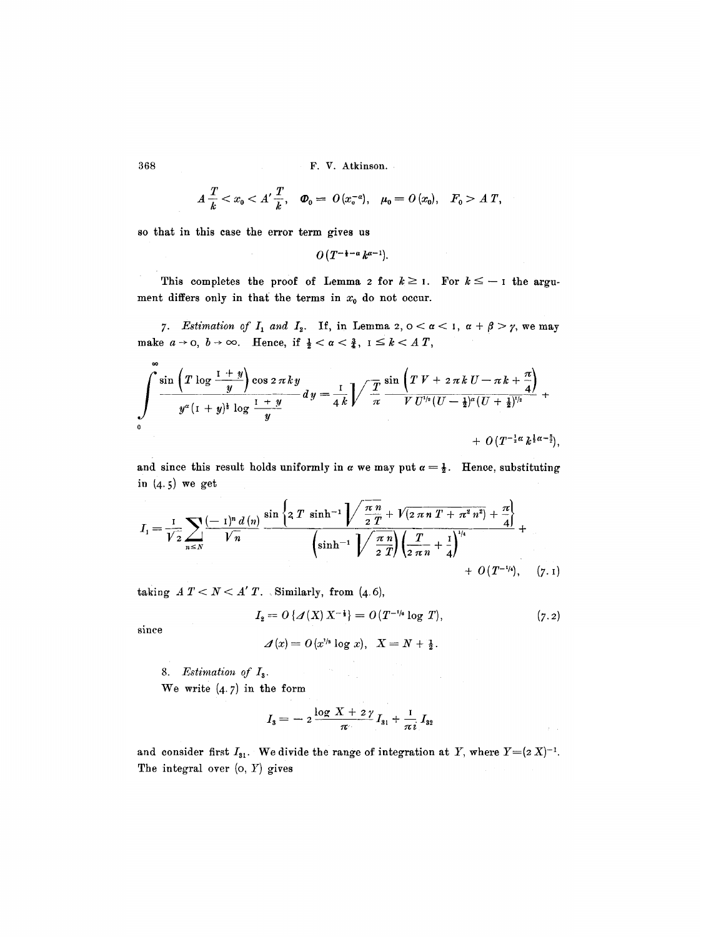368 F.V. Atkinson.

$$
A\,\frac{T}{k}A\ T,
$$

so that in this case the error term gives us

$$
O(T^{-\frac{1}{2}-\alpha}k^{\alpha-1}).
$$

This completes the proof of Lemma 2 for  $k \geq 1$ . For  $k \leq -1$  the argument differs only in that the terms in  $x_0$  do not occur.

7. Estimation of  $I_1$  and  $I_2$ . If, in Lemma 2,  $0 < \alpha < 1$ ,  $\alpha + \beta > \gamma$ , we may make  $a \rightarrow 0$ ,  $b \rightarrow \infty$ . Hence, if  $\frac{1}{2} < a < \frac{3}{4}$ ,  $1 \leq k < A$  T,

$$
\int_{0}^{\infty} \frac{\sin \left(T \log \frac{1+y}{y}\right) \cos 2 \pi k y}{y^{\alpha}(1+y)^{\frac{1}{2}} \log \frac{1+y}{y}} dy = \frac{1}{4k} \sqrt{\frac{T}{\pi}} \frac{\sin \left(T V + 2 \pi k U - \pi k + \frac{\pi}{4}\right)}{V U'^{\frac{1}{2}} (U - \frac{1}{2})^{\alpha} (U + \frac{1}{2})^{\frac{1}{2}}} + O(T^{-\frac{1}{2}\alpha} k^{\frac{1}{2}\alpha - \frac{3}{2}}),
$$

and since this result holds uniformly in  $\alpha$  we may put  $\alpha = \frac{1}{2}$ . Hence, substituting in  $(4.5)$  we get

$$
I_{1} = \frac{1}{\sqrt{2}} \sum_{n \leq N} \frac{(-1)^{n} d(n)}{\sqrt{n}} \frac{\sin \left\{2 T \sinh^{-1} \sqrt{\frac{\pi n}{2} + \sqrt{2 \pi n T + \pi^{2} n^{2}} + \frac{\pi}{4}}\right\}}{\left(\sinh^{-1} \sqrt{\frac{\pi n}{2} \pi}\right) \left(\frac{T}{2 \pi n} + \frac{1}{4}\right)^{1/4}} + O(T^{-1/4}), \quad (7.1)
$$

taking  $A T < N < A' T$ . Similarly, from (4.6),

$$
I_2 = O\left\{ \mathcal{A}(X) \, X^{-\frac{1}{2}} \right\} = O(T^{-1/6} \log T), \tag{7.2}
$$

 $\hat{f} = \hat{f}$ 

since

$$
\mathcal{A}(x) = O(x^{\nu s} \log x), \ \ X = N + \frac{1}{2}.
$$

*8. Estimation of I3.* 

We write  $(4.7)$  in the form

$$
I_3 = -2\frac{\log X + 2\gamma}{\pi}I_{31} + \frac{I}{\pi i}I_{32}
$$

and consider first  $I_{31}$ . We divide the range of integration at Y, where  $Y=(2 X)^{-1}$ . The integral over  $(0, Y)$  gives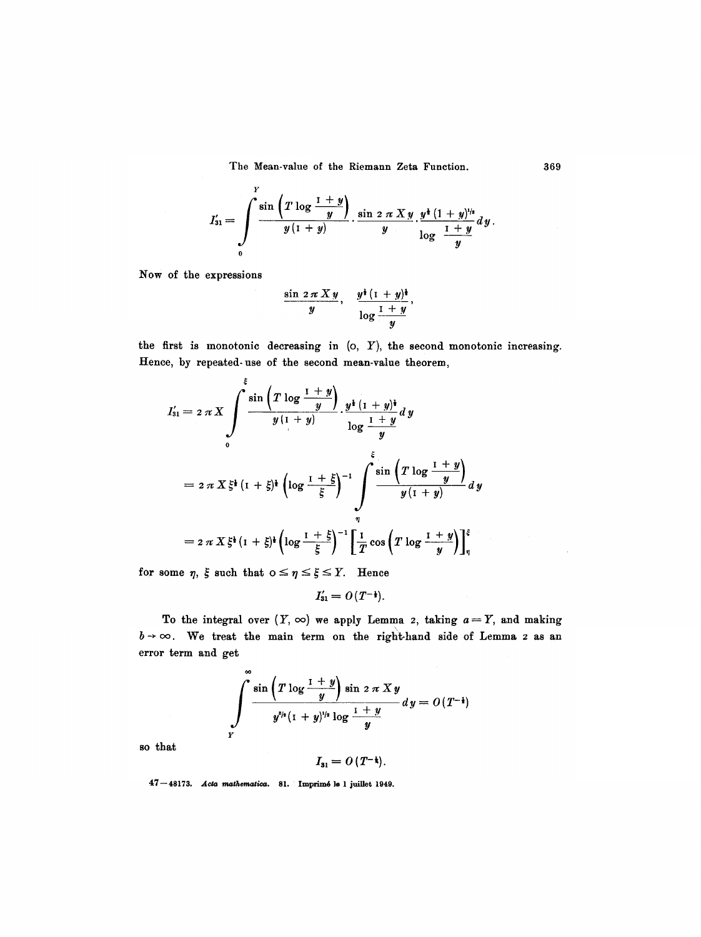$$
I'_{31} = \int\limits_{0}^{Y} \frac{\sin \left(T \log \frac{1+y}{y}\right)}{y \left(1+y\right)} \cdot \frac{\sin 2 \pi X y}{y} \cdot \frac{y^{\frac{1}{2}} \left(1+y\right)^{1/2}}{\log \frac{1+y}{y}} \, dy.
$$

Now of the expressions

$$
\frac{\sin 2\pi X y}{y}, \quad \frac{y^{\frac{1}{2}}(1+y)^{\frac{1}{2}}}{\log \frac{1+y}{y}},
$$

the first is monotonic decreasing in  $(o, Y)$ , the second monotonic increasing. Hence, by repeated-use of the second mean-value theorem,

$$
I'_{31} = 2 \pi X \int \limits_{0}^{5} \frac{\sin \left(T \log \frac{1+y}{y}\right)}{y(1+y)} \cdot \frac{y^{\frac{1}{2}}(1+y)^{\frac{1}{2}}}{\log \frac{1+y}{y}} dy
$$
  

$$
= 2 \pi X \xi^{\frac{1}{2}}(1+\xi)^{\frac{1}{2}} \left(\log \frac{1+\xi}{\xi}\right)^{-1} \int \limits_{\eta}^{5} \frac{\sin \left(T \log \frac{1+y}{y}\right)}{y(1+y)} dy
$$
  

$$
= 2 \pi X \xi^{\frac{1}{2}}(1+\xi)^{\frac{1}{2}} \left(\log \frac{1+\xi}{\xi}\right)^{-1} \left[\frac{1}{T} \cos \left(T \log \frac{1+y}{y}\right)\right]_{\eta}^{5}
$$

for some  $\eta$ ,  $\xi$  such that  $0 \leq \eta \leq \xi \leq Y$ . Hence

$$
I'_{31}=O(T^{-\frac{1}{2}}).
$$

error term and get To the integral over  $(Y, \infty)$  we apply Lemma 2, taking  $a=Y$ , and making  $b \rightarrow \infty$ . We treat the main term on the right-hand side of Lemma 2 as an

$$
\int_{r}^{\infty} \frac{\sin \left(T \log \frac{1+y}{y}\right) \sin 2 \pi X y}{y^{s/s} (1+y)^{1/s} \log \frac{1+y}{y}} dy = O(T^{-1})
$$

so that

 $I_{31} = O(T^{-\frac{1}{3}}).$ 

47-48173. Acta mathematica. 81. Imprimé le 1 juillet 1949.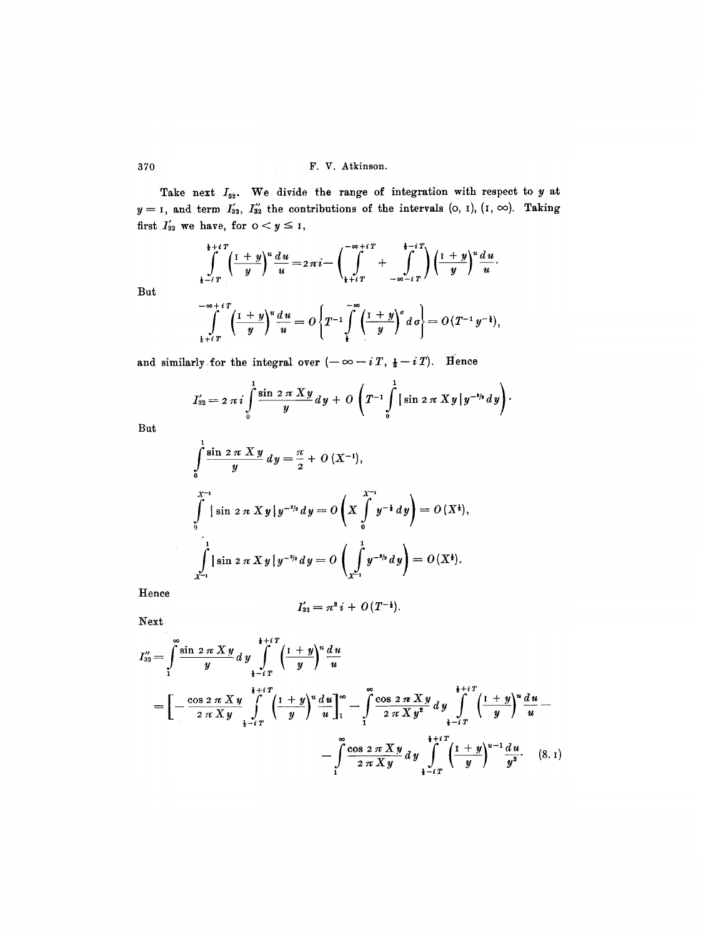Take next  $I_{32}$ . We divide the range of integration with respect to y at  $y=1$ , and term  $I'_{32}$ ,  $I''_{32}$  the contributions of the intervals (o, I), (I,  $\infty$ ). Taking first  $I'_{32}$  we have, for  $0 < y \leq 1$ ,

$$
\int_{\frac{1}{2}+i\,T}^{\frac{1}{2}+i\,T} \left(\frac{1+y}{y}\right)^u \frac{du}{u} = 2\,\pi i - \left(\int_{\frac{1}{2}+i\,T}^{-\infty+i\,T} + \int_{-\infty-i\,T}^{\frac{1}{2}+i\,T} \right) \left(\frac{1+y}{y}\right)^u \frac{du}{u}.
$$

$$
\int_{\frac{1}{2}+i\,T}^{-\infty+i\,T} \left(\frac{1+y}{y}\right)^u \frac{du}{u} = O\left\{T^{-1}\int_{\frac{1}{2}}^{\infty} \left(\frac{1+y}{y}\right)^v d\,\sigma\right\} = O\left(T^{-1}\,y^{-\frac{1}{2}}\right),
$$

and similarly for the integral over  $(-\infty-i T, \frac{1}{2}-i T)$ . Hence

$$
I'_{32}=2 \pi i \int\limits_{0}^{1} \frac{\sin 2 \pi X y}{y} dy + O\left(T^{-1} \int\limits_{0}^{1} |\sin 2 \pi X y| y^{-s/s} dy\right).
$$

But

$$
\int_{0}^{1} \frac{\sin 2 \pi X y}{y} dy = \frac{\pi}{2} + O(X^{-1}),
$$
\n
$$
\int_{0}^{X^{-1}} |\sin 2 \pi X y| y^{-s/2} dy = O\left(X \int_{0}^{X^{-1}} y^{-1} dy\right) = O(X^{\frac{1}{2}}),
$$
\n
$$
\int_{X^{-1}}^{1} |\sin 2 \pi X y| y^{-s/2} dy = O\left(\int_{X^{-1}}^{1} y^{-s/2} dy\right) = O(X^{\frac{1}{2}}).
$$

**Hence** 

$$
I'_{32} = \pi^2 i + O(T^{-\frac{1}{2}}).
$$

Next

$$
I_{32}'' = \int_{1}^{\infty} \frac{\sin 2 \pi X y}{y} dy \int_{\frac{1}{4} - iT}^{\frac{1}{4} + iT} \left(\frac{1 + y}{y}\right)^u \frac{du}{u}
$$
  
=  $\left[ -\frac{\cos 2 \pi X y}{2 \pi X y} \int_{\frac{1}{4} - iT}^{\frac{1}{4} + iT} \left(\frac{1 + y}{y}\right)^u \frac{du}{u} \right]_{1}^{\infty} - \int_{1}^{\infty} \frac{\cos 2 \pi X y}{2 \pi X y^2} dy \int_{\frac{1}{4} - iT}^{\frac{1}{4} + iT} \left(\frac{1 + y}{y}\right)^u \frac{du}{u} - \int_{1}^{\infty} \frac{\cos 2 \pi X y}{2 \pi X y} dy \int_{\frac{1}{4} - iT}^{i + iT} \left(\frac{1 + y}{y}\right)^{u-1} \frac{du}{y^2}.$  (8.1)

But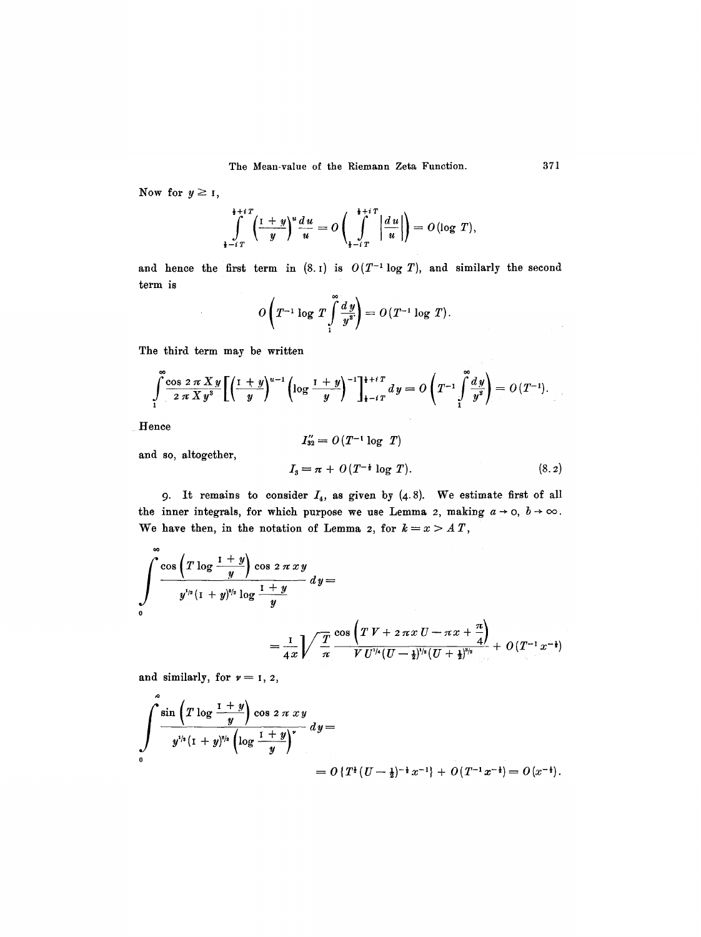Now for  $y \geq 1$ ,

$$
\int_{\frac{1}{2}-i}^{i+i} \left(\frac{1+y}{y}\right)^u \frac{du}{u} = O\left(\int_{\frac{1}{2}-i}^{i+i} \left|\frac{du}{u}\right|\right) = O(\log T),
$$

and hence the first term in  $(8.1)$  is  $O(T^{-1} \log T)$ , and similarly the second term is

$$
O\left(T^{-1}\log\,T\int\limits_{1}^{\infty}\frac{d\,y}{y^2}\right)=O\left(T^{-1}\log\,T\right).
$$

The third term may be written

 $\sim$ 

$$
\int_{1}^{\infty} \frac{\cos 2 \pi X y}{2 \pi X y^{3}} \left[ \left( \frac{1+y}{y} \right)^{u-1} \left( \log \frac{1+y}{y} \right)^{-1} \right]_{1-i}^{1+i} dy = O \left( T^{-1} \int_{1}^{\infty} \frac{dy}{y^{2}} \right) = O \left( T^{-1} \right).
$$

Hence

and so, altogether,

$$
I_{32}'' = O(T^{-1} \log T)
$$
  
\n
$$
I_3 = \pi + O(T^{-\frac{1}{2}} \log T).
$$
 (8.2)

9. It remains to consider  $I_4$ , as given by  $(4,8)$ . We estimate first of all the inner integrals, for which purpose we use Lemma 2, making  $a \rightarrow o, b \rightarrow \infty$ . We have then, in the notation of Lemma z, for  $k = x > A T$ ,

$$
\int_{0}^{\infty} \frac{\cos\left(T\log\frac{1+y}{y}\right)\cos 2\pi xy}{y^{1/2}\left(1+y\right)^{3/2}\log\frac{1+y}{y}}\,dy = \\ = \frac{1}{4x}\sqrt{\frac{T}{\pi}}\frac{\cos\left(TV + 2\pi xU - \pi x + \frac{\pi}{4}\right)}{VU^{1/4}(U-\frac{1}{2})^{1/2}\left(U+\frac{1}{2}\right)^{3/2}} + O\left(T^{-1}x^{-\frac{1}{2}}\right)
$$

and similarly, for  $v = 1, 2$ ,

$$
\int_{0}^{a} \frac{\sin \left(T \log \frac{1+y}{y}\right) \cos 2 \pi x y}{y^{1/2} (1+y)^{3/2} \left(\log \frac{1+y}{y}\right)^{r}} dy =
$$
  
=  $O \{T^{\frac{1}{2}} (U - \frac{1}{2})^{-\frac{1}{2}} x^{-1} \} + O(T^{-1} x^{-\frac{1}{2}}) = O(x^{-\frac{1}{2}}).$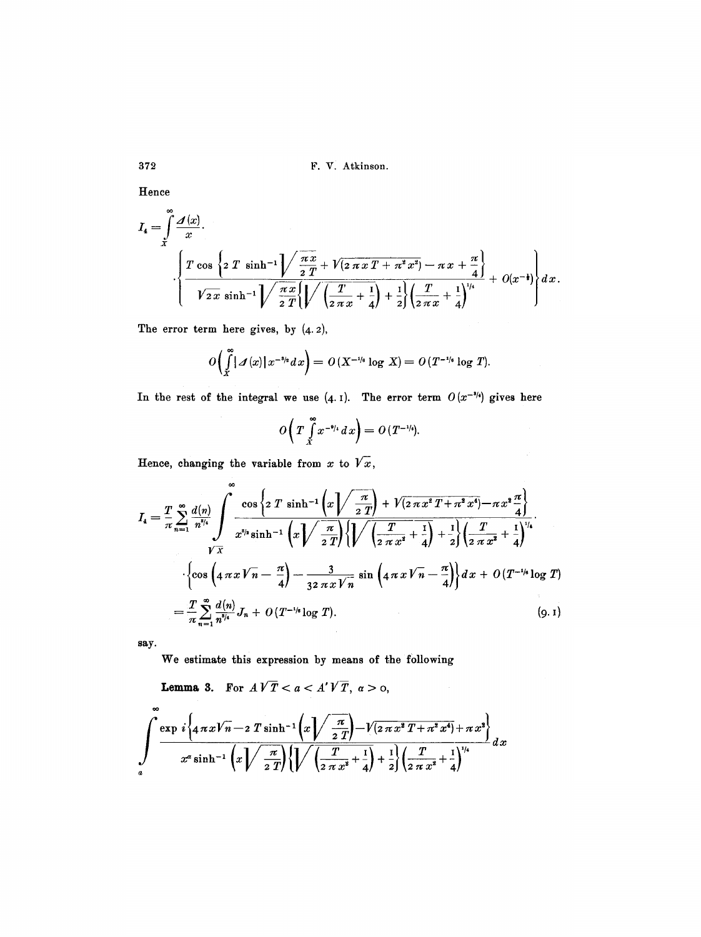372 F. V. Atkinson.

Hence

$$
I_4 = \int_{x}^{\infty} \frac{\mathcal{A}(x)}{x} \cdot \left\{ \frac{T \cos \left\{ 2 T \sinh^{-1} \right\} \left( \frac{\pi x}{2 T} + \sqrt{2 \pi x T + \pi^2 x^2} - \pi x + \frac{\pi}{4} \right\}}{\sqrt{2 \pi} \sinh^{-1} \sqrt{\frac{\pi x}{2 T}} \left\{ \sqrt{\left( \frac{T}{2 \pi x} + \frac{1}{4} \right) + \frac{1}{2} \left( \frac{T}{2 \pi x} + \frac{1}{4} \right)^{1/4}} + O(x^{-1}) \right\}} dx.
$$

The error term here gives, by  $(4.2)$ ,

$$
O\left(\int\limits_X^{\infty} |A(x)| x^{-s/s} dx\right) = O\left(X^{-1/s} \log X\right) = O\left(T^{-1/s} \log T\right).
$$

In the rest of the integral we use  $(4.1)$ . The error term  $O(x^{-3/4})$  gives here

$$
O\left(T\int\limits_{x}^{\infty}x^{-\theta/4}\,dx\right)=O\left(T^{-\frac{1}{4}}\right).
$$

Hence, changing the variable from  $x$  to  $\sqrt{x}$ ,

$$
I_{4} = \frac{T}{\pi} \sum_{n=1}^{\infty} \frac{d(n)}{n^{s/4}} \int_{\sqrt{\frac{x}{X}}}^{\infty} \frac{\cos \left\{2 T \sinh^{-1} \left(x \sqrt{\frac{\pi}{2T}}\right) + \sqrt{\left(2 \pi x^{2} T + \pi^{2} x^{4}\right)} - \pi x^{2} \frac{\pi}{4}\right\}}{\sqrt{\frac{x}{X}}} \cdot \left\{\cos \left(4 \pi x \sqrt{n} - \frac{\pi}{4}\right) - \frac{3}{32 \pi x \sqrt{n}} \sin \left(4 \pi x \sqrt{n} - \frac{\pi}{4}\right)\right\} dx + O(T^{-1/6} \log T)\right\}
$$
\n
$$
= \frac{T}{\pi} \sum_{n=1}^{\infty} \frac{d(n)}{n^{s/4}} J_{n} + O(T^{-1/6} \log T). \tag{9.1}
$$

**say.** 

**We estimate this expression by means of the following** 

**Lemma 3.** For  $A\sqrt{T} < a < A'\sqrt{T}$ ,  $a > 0$ ,

$$
\int_{a}^{\infty} \frac{\exp i \left\{ 4 \pi x \sqrt{n-2} \sinh^{-1} \left( x \sqrt{\frac{\pi}{2T}} \right) - \sqrt{(2 \pi x^2 T + \pi^2 x^4)} + \pi x^2 \right\}}{x^{\alpha} \sinh^{-1} \left( x \sqrt{\frac{\pi}{2T}} \right) \left\{ \sqrt{\left( \frac{T}{2 \pi x^2} + \frac{1}{4} \right) + \frac{1}{2}} \right\} \left( \frac{T}{2 \pi x^2} + \frac{1}{4} \right)^{1/4}} dx
$$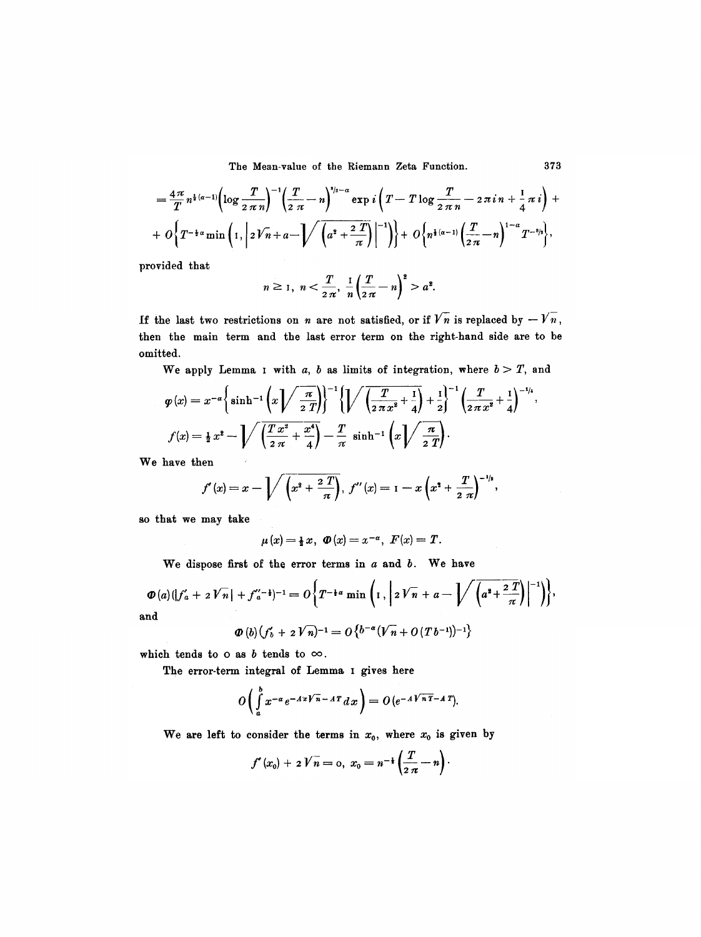$$
= \frac{4\pi}{T} n^{\frac{1}{2}(\alpha-1)} \left( \log \frac{T}{2\pi n} \right)^{-1} \left( \frac{T}{2\pi} - n \right)^{3/2-\alpha} \exp i \left( T - T \log \frac{T}{2\pi n} - 2\pi i n + \frac{1}{4} \pi i \right) +
$$
  
+  $O \left\{ T^{-\frac{1}{2}\alpha} \min \left( 1, \left| 2\sqrt{n} + a - \frac{1}{\alpha} \right| \left( \frac{2T}{\alpha^2} + \frac{2T}{\pi} \right) \right|^{-1} \right\} + O \left\{ n^{\frac{1}{2}(\alpha-1)} \left( \frac{T}{2\pi} - n \right)^{1-\alpha} T^{-\frac{3}{2}} \right\},$ 

provided that

$$
n \ge 1
$$
,  $n < \frac{T}{2\pi}$ ,  $\frac{1}{n} (\frac{T}{2\pi} - n)^2 > a^2$ .

If the last two restrictions on n are not satisfied, or if  $\sqrt{n}$  is replaced by  $-\sqrt{n}$ , then the main term and the last error term on the right-hand side are to be omitted.

We apply Lemma I with a, b as limits of integration, where  $b > T$ , and

$$
\varphi(x) = x^{-\alpha} \left\{ \sinh^{-1} \left( x \sqrt{\frac{\pi}{2T}} \right) \right\}^{-1} \left\{ \sqrt{\left( \frac{T}{2\pi x^2} + \frac{1}{4} \right)} + \frac{1}{2} \right\}^{-1} \left( \frac{T}{2\pi x^2} + \frac{1}{4} \right)^{-1/4},
$$
\n
$$
f(x) = \frac{1}{2} x^2 - \sqrt{\left( \frac{T x^2}{2\pi} + \frac{x^4}{4} \right)} - \frac{T}{\pi} \sinh^{-1} \left( x \sqrt{\frac{\pi}{2T}} \right).
$$

We have then

$$
f'(x) = x - \sqrt{\left(x^2 + \frac{2T}{\pi}\right)},
$$
  $f''(x) = 1 - x\left(x^2 + \frac{T}{2\pi}\right)^{-1/2},$ 

so that we may take

$$
\mu(x) = \frac{1}{2}x, \ \Phi(x) = x^{-\alpha}, \ F(x) = T.
$$

We dispose first of the error terms in  $a$  and  $b$ . We have

$$
\Phi(a) (|f'_a + 2\sqrt{n}| + f''_a^{-1})^{-1} = O\bigg\{T^{-\frac{1}{4}a} \min\bigg(1, \bigg| 2\sqrt{n} + a - \bigg|\bigg/ \bigg(a^2 + \frac{2\,T}{\pi}\bigg)\bigg|^{-1}\bigg)\bigg\},
$$
and

$$
\Phi(b)\big(f'_b+2\,V\,n\big)^{-1}=O\big\{b^{-\alpha}\big(V\,n}+O\,(T\,b^{-1})\big)^{-1}\big\}
$$

which tends to o as  $b$  tends to  $\infty$ .

The error-term integral of Lemma I gives here

$$
O\left(\int_a^b x^{-\alpha} e^{-A x \sqrt{n}-A T} dx\right) = O\left(e^{-A \sqrt{nT}-A T}\right).
$$

We are left to consider the terms in  $x_0$ , where  $x_0$  is given by

$$
f'(x_0) + 2V\overline{n} = 0, x_0 = n^{-\frac{1}{2}}\left(\frac{T}{2\pi} - n\right).
$$

373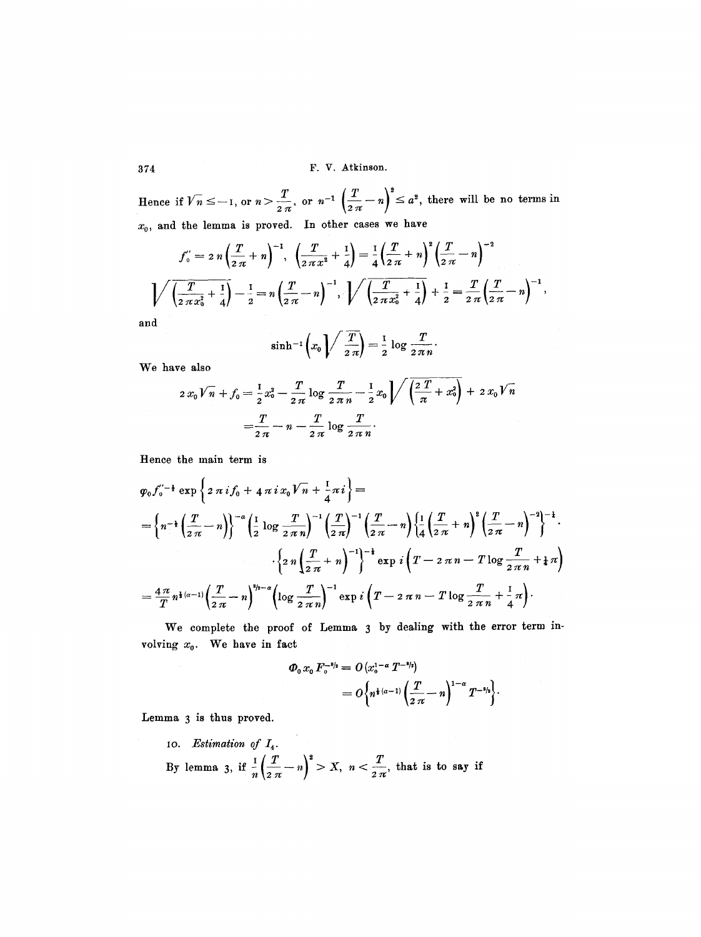Hence if  $\sqrt{n} \leq -1$ , or  $n > \frac{1}{2\pi}$ , or  $n^{-1} \left( \frac{1}{2\pi} - n \right) \leq a^2$ , there will be no terms in  $x_0$ , and the lemma is proved. In other cases we have

$$
f_0'' = 2 n \left(\frac{T}{2 \pi} + n\right)^{-1}, \quad \left(\frac{T}{2 \pi x^2} + \frac{1}{4}\right) = \frac{1}{4} \left(\frac{T}{2 \pi} + n\right)^2 \left(\frac{T}{2 \pi} - n\right)^{-2}
$$

$$
\sqrt{\left(\frac{T}{2 \pi x_0^2} + \frac{1}{4}\right)} - \frac{1}{2} = n \left(\frac{T}{2 \pi} - n\right)^{-1}, \quad \sqrt{\left(\frac{T}{2 \pi x_0^2} + \frac{1}{4}\right)} + \frac{1}{2} = \frac{T}{2 \pi} \left(\frac{T}{2 \pi} - n\right)^{-1},
$$

**and** 

$$
\sinh^{-1}\left(x_0\right)\sqrt{\frac{T}{2\,\pi}}\bigg)=\frac{1}{2}\log\frac{T}{2\,\pi\,n}
$$

**We** have also

$$
2 x_0 V \widehat{n} + f_0 = \frac{1}{2} x_0^2 - \frac{T}{2 \pi} \log \frac{T}{2 \pi n} - \frac{1}{2} x_0 \left\{ \sqrt{\left(\frac{2 T}{\pi} + x_0^2\right)} + 2 x_0 V \widehat{n} \right\}
$$

$$
= \frac{T}{2 \pi} - n - \frac{T}{2 \pi} \log \frac{T}{2 \pi n}.
$$

Hence the main term is

$$
\varphi_0 f_0^{\prime - \frac{1}{2}} \exp \left\{ 2 \pi i f_0 + 4 \pi i x_0 V_n + \frac{1}{4} \pi i \right\} =
$$
\n
$$
= \left\{ n^{-\frac{1}{2}} \left( \frac{T}{2\pi} - n \right) \right\}^{-\alpha} \left( \frac{1}{2} \log \frac{T}{2\pi n} \right)^{-1} \left( \frac{T}{2\pi} \right)^{-1} \left( \frac{T}{2\pi} - n \right) \left\{ \frac{1}{4} \left( \frac{T}{2\pi} + n \right)^2 \left( \frac{T}{2\pi} - n \right)^{-2} \right\}^{-\frac{1}{2}}.
$$
\n
$$
\cdot \left\{ 2 \pi \left( \frac{T}{2\pi} + n \right)^{-1} \right\}^{-\frac{1}{2}} \exp i \left( T - 2 \pi n - T \log \frac{T}{2\pi n} + \frac{1}{4} \pi \right)
$$
\n
$$
= \frac{4 \pi}{T} n^{\frac{1}{2} (\alpha - 1)} \left( \frac{T}{2\pi} - n \right)^{\frac{n}{2} - \alpha} \left( \log \frac{T}{2\pi n} \right)^{-1} \exp i \left( T - 2 \pi n - T \log \frac{T}{2\pi n} + \frac{1}{4} \pi \right).
$$

We complete the proof of Lemma 3 by dealing with the error term involving  $x_0$ . We have in fact

$$
\Phi_0 x_0 F_0^{-s_{/2}} = O(x_0^{1-\alpha} T^{-s_{/2}})
$$
  
=  $O\left\{ n^{1+(\alpha-1)} \left( \frac{T}{2\pi} - n \right)^{1-\alpha} T^{-s_{/2}} \right\}.$ 

Lemma 3 is thus proved.

10. Estimation of  $I_4$ . By lemma 3, if  $\frac{1}{n}(\frac{T}{n} - n)^2 > X$ ,  $n < \frac{T}{n}$ , that is to say if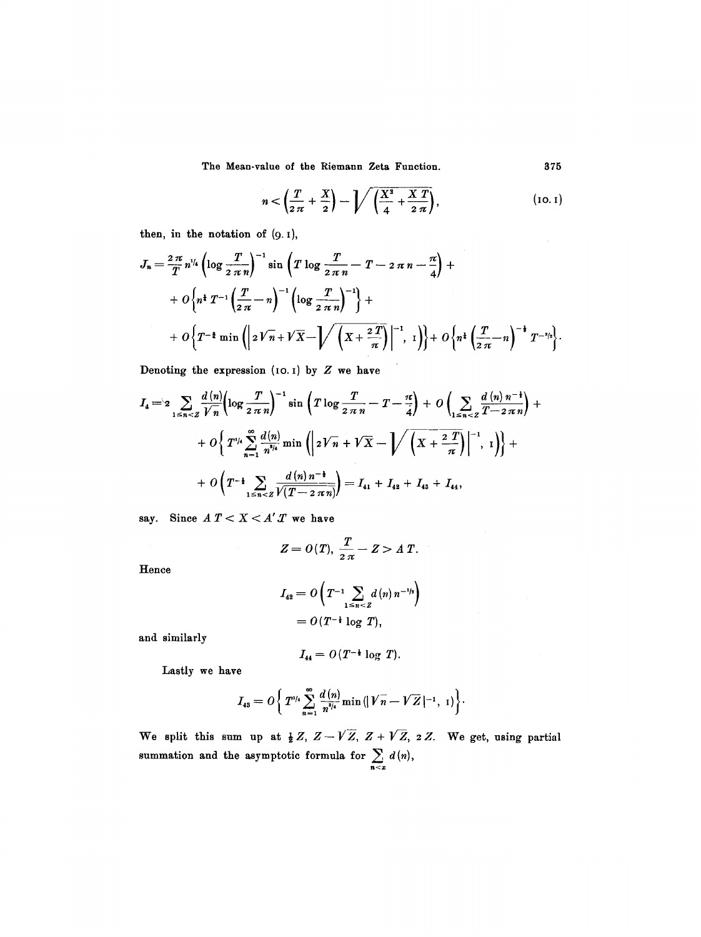$$
n < \left(\frac{T}{2\pi} + \frac{X}{2}\right) - \sqrt{\left(\frac{X^3}{4} + \frac{X T}{2\pi}\right)},
$$
 (10.1)

then, in the notation of  $(9.1)$ ,

$$
J_n = \frac{2\pi}{T} n^{1/4} \left( \log \frac{T}{2\pi n} \right)^{-1} \sin \left( T \log \frac{T}{2\pi n} - T - 2\pi n - \frac{\pi}{4} \right) +
$$
  
+  $O \left\{ n^{\frac{1}{4}} T^{-1} \left( \frac{T}{2\pi} - n \right)^{-1} \left( \log \frac{T}{2\pi n} \right)^{-1} \right\} +$   
+  $O \left\{ T^{-\frac{1}{4}} \min \left( \left| 2\sqrt{n} + \sqrt{X} - \sqrt{\left( X + \frac{2T}{\pi} \right)} \right|^{-1}, 1 \right) \right\} + O \left\{ n^{\frac{1}{4}} \left( \frac{T}{2\pi} - n \right)^{-\frac{1}{4}} T^{-\frac{3}{2}} \right\}.$ 

Denoting the expression (10.1) by  $Z$  we have

$$
I_4 = 2 \sum_{1 \leq n < Z} \frac{d(n)}{\sqrt{n}} \left( \log \frac{T}{2 \pi n} \right)^{-1} \sin \left( T \log \frac{T}{2 \pi n} - T - \frac{\pi}{4} \right) + O\left( \sum_{1 \leq n < Z} \frac{d(n) n^{-1}}{T - 2 \pi n} \right) + O\left( T^{1/4} \sum_{n=1}^{\infty} \frac{d(n)}{n^{3/4}} \min \left( \left| 2 \sqrt{n} + \sqrt{X} - \sqrt{\left( X + \frac{2 T}{\pi} \right)} \right|^{-1}, 1 \right) \right) + O\left( T^{-\frac{1}{4}} \sum_{1 \leq n < Z} \frac{d(n) n^{-\frac{1}{4}}}{\sqrt{\left( T - 2 \pi n \right)}} \right) = I_{41} + I_{42} + I_{43} + I_{44},
$$

say. Since  $A T < X < A' T$  we have

$$
Z=O(T),\ \frac{T}{2\pi}-Z>A T.
$$

Hence

$$
I_{42} = O\left(T^{-1} \sum_{1 \le n < Z} d(n) n^{-1/2}\right)
$$
\n
$$
= O(T^{-\frac{1}{2}} \log T),
$$

and similarly

$$
I_{44}=O(T^{-\frac{1}{2}}\log T).
$$

Lastly we have

$$
I_{43}=O\bigg\{\,T^{1/4}\sum_{n=1}^{\infty}\frac{d\left(n\right)}{n^{8/4}}\min\left(\left|\,\overline{V}\,\overline{n}-\overline{V}\,\overline{Z}\,\right|^{-1},\;1\right)\bigg\}.
$$

We split this sum up at  $\frac{1}{2}Z$ ,  $Z-V\overline{Z}$ ,  $Z+\overline{V}\overline{Z}$ , 2Z. We get, using partial summation and the asymptotic formula for  $\sum_{n \leq x} d(n)$ ,

375